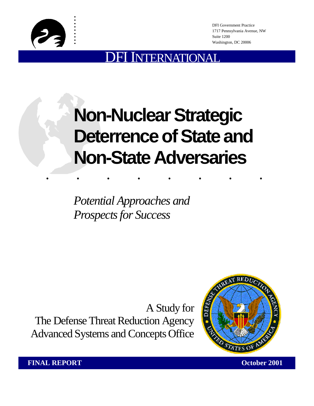

. . :<br>: :<br>: :<br>: :<br>: :<br>: :<br>: :<br>:

DFI Government Practice 1717 Pennsylvania Avenue, NW Suite 1200 Washington, DC 20006

## NTERNATIONAL

# ........ **Non-Nuclear Strategic Deterrence of State and Non-State Adversaries**

*Potential Approaches and Prospects for Success* 

A Study for The Defense Threat Reduction Agency Advanced Systems and Concepts Office



**FINAL REPORT CONSUMING THE CONSUMING OCTOBER 2001**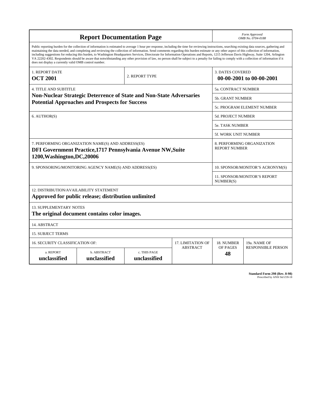| <b>Report Documentation Page</b>                                                                                                                                                                                                                                                                                                                                                                                                                                                                                                                                                                                                                                                                                                                                                                                                                                   |                                                                     |  |                                           | Form Approved<br>OMB No. 0704-0188                  |                            |
|--------------------------------------------------------------------------------------------------------------------------------------------------------------------------------------------------------------------------------------------------------------------------------------------------------------------------------------------------------------------------------------------------------------------------------------------------------------------------------------------------------------------------------------------------------------------------------------------------------------------------------------------------------------------------------------------------------------------------------------------------------------------------------------------------------------------------------------------------------------------|---------------------------------------------------------------------|--|-------------------------------------------|-----------------------------------------------------|----------------------------|
| Public reporting burden for the collection of information is estimated to average 1 hour per response, including the time for reviewing instructions, searching existing data sources, gathering and<br>maintaining the data needed, and completing and reviewing the collection of information. Send comments regarding this burden estimate or any other aspect of this collection of information,<br>including suggestions for reducing this burden, to Washington Headquarters Services, Directorate for Information Operations and Reports, 1215 Jefferson Davis Highway, Suite 1204, Arlington<br>VA 22202-4302. Respondents should be aware that notwithstanding any other provision of law, no person shall be subject to a penalty for failing to comply with a collection of information if it<br>does not display a currently valid OMB control number. |                                                                     |  |                                           |                                                     |                            |
| <b>1. REPORT DATE</b><br><b>OCT 2001</b>                                                                                                                                                                                                                                                                                                                                                                                                                                                                                                                                                                                                                                                                                                                                                                                                                           | 2. REPORT TYPE                                                      |  |                                           | <b>3. DATES COVERED</b><br>00-00-2001 to 00-00-2001 |                            |
| <b>4. TITLE AND SUBTITLE</b>                                                                                                                                                                                                                                                                                                                                                                                                                                                                                                                                                                                                                                                                                                                                                                                                                                       |                                                                     |  |                                           | 5a. CONTRACT NUMBER                                 |                            |
|                                                                                                                                                                                                                                                                                                                                                                                                                                                                                                                                                                                                                                                                                                                                                                                                                                                                    | Non-Nuclear Strategic Deterrence of State and Non-State Adversaries |  |                                           | 5b. GRANT NUMBER                                    |                            |
|                                                                                                                                                                                                                                                                                                                                                                                                                                                                                                                                                                                                                                                                                                                                                                                                                                                                    | <b>Potential Approaches and Prospects for Success</b>               |  |                                           |                                                     | 5c. PROGRAM ELEMENT NUMBER |
| 6. AUTHOR(S)                                                                                                                                                                                                                                                                                                                                                                                                                                                                                                                                                                                                                                                                                                                                                                                                                                                       |                                                                     |  |                                           | <b>5d. PROJECT NUMBER</b>                           |                            |
|                                                                                                                                                                                                                                                                                                                                                                                                                                                                                                                                                                                                                                                                                                                                                                                                                                                                    |                                                                     |  |                                           | 5e. TASK NUMBER                                     |                            |
|                                                                                                                                                                                                                                                                                                                                                                                                                                                                                                                                                                                                                                                                                                                                                                                                                                                                    |                                                                     |  |                                           | <b>5f. WORK UNIT NUMBER</b>                         |                            |
| 7. PERFORMING ORGANIZATION NAME(S) AND ADDRESS(ES)<br>8. PERFORMING ORGANIZATION<br><b>REPORT NUMBER</b><br>DFI Government Practice, 1717 Pennsylvania Avenue NW, Suite<br>1200, Washington, DC, 20006                                                                                                                                                                                                                                                                                                                                                                                                                                                                                                                                                                                                                                                             |                                                                     |  |                                           |                                                     |                            |
| 9. SPONSORING/MONITORING AGENCY NAME(S) AND ADDRESS(ES)                                                                                                                                                                                                                                                                                                                                                                                                                                                                                                                                                                                                                                                                                                                                                                                                            |                                                                     |  |                                           | 10. SPONSOR/MONITOR'S ACRONYM(S)                    |                            |
|                                                                                                                                                                                                                                                                                                                                                                                                                                                                                                                                                                                                                                                                                                                                                                                                                                                                    |                                                                     |  | 11. SPONSOR/MONITOR'S REPORT<br>NUMBER(S) |                                                     |                            |
| 12. DISTRIBUTION/AVAILABILITY STATEMENT<br>Approved for public release; distribution unlimited                                                                                                                                                                                                                                                                                                                                                                                                                                                                                                                                                                                                                                                                                                                                                                     |                                                                     |  |                                           |                                                     |                            |
| <b>13. SUPPLEMENTARY NOTES</b><br>The original document contains color images.                                                                                                                                                                                                                                                                                                                                                                                                                                                                                                                                                                                                                                                                                                                                                                                     |                                                                     |  |                                           |                                                     |                            |
| 14. ABSTRACT                                                                                                                                                                                                                                                                                                                                                                                                                                                                                                                                                                                                                                                                                                                                                                                                                                                       |                                                                     |  |                                           |                                                     |                            |
| <b>15. SUBJECT TERMS</b>                                                                                                                                                                                                                                                                                                                                                                                                                                                                                                                                                                                                                                                                                                                                                                                                                                           |                                                                     |  |                                           |                                                     |                            |
| 16. SECURITY CLASSIFICATION OF:<br>17. LIMITATION OF                                                                                                                                                                                                                                                                                                                                                                                                                                                                                                                                                                                                                                                                                                                                                                                                               |                                                                     |  |                                           | 18. NUMBER                                          | 19a. NAME OF               |
| a. REPORT<br>unclassified                                                                                                                                                                                                                                                                                                                                                                                                                                                                                                                                                                                                                                                                                                                                                                                                                                          | c. THIS PAGE<br>b. ABSTRACT<br>unclassified<br>unclassified         |  | <b>ABSTRACT</b>                           | OF PAGES<br>48                                      | <b>RESPONSIBLE PERSON</b>  |

**Standard Form 298 (Rev. 8-98)**<br>Prescribed by ANSI Std Z39-18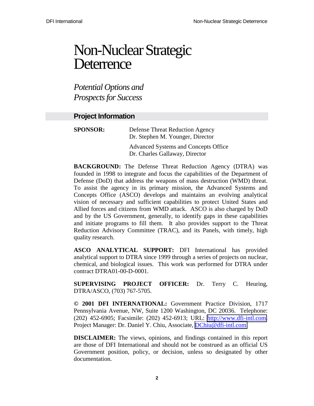## Non-Nuclear Strategic **Deterrence**

*Potential Options and Prospects for Success* 

## **Project Information**

| <b>SPONSOR:</b> | <b>Defense Threat Reduction Agency</b><br>Dr. Stephen M. Younger, Director |
|-----------------|----------------------------------------------------------------------------|
|                 | Advanced Systems and Concepts Office<br>Dr. Charles Gallaway, Director     |

**BACKGROUND:** The Defense Threat Reduction Agency (DTRA) was founded in 1998 to integrate and focus the capabilities of the Department of Defense (DoD) that address the weapons of mass destruction (WMD) threat. To assist the agency in its primary mission, the Advanced Systems and Concepts Office (ASCO) develops and maintains an evolving analytical vision of necessary and sufficient capabilities to protect United States and Allied forces and citizens from WMD attack. ASCO is also charged by DoD and by the US Government, generally, to identify gaps in these capabilities and initiate programs to fill them. It also provides support to the Threat Reduction Advisory Committee (TRAC), and its Panels, with timely, high quality research.

**ASCO ANALYTICAL SUPPORT:** DFI International has provided analytical support to DTRA since 1999 through a series of projects on nuclear, chemical, and biological issues. This work was performed for DTRA under contract DTRA01-00-D-0001.

**SUPERVISING PROJECT OFFICER:** Dr. Terry C. Heuring, DTRA/ASCO, (703) 767-5705.

**© 2001 DFI INTERNATIONAL:** Government Practice Division, 1717 Pennsylvania Avenue, NW, Suite 1200 Washington, DC 20036. Telephone: (202) 452-6905; Facsimile: (202) 452-6913; URL: [http://www.dfi-intl.com.](http://www.dfi-intl.com/) Project Manager: Dr. Daniel Y. Chiu, Associate, [DChiu@dfi-intl.com.](mailto:DChiu@dfi-intl.com)

**DISCLAIMER:** The views, opinions, and findings contained in this report are those of DFI International and should not be construed as an official US Government position, policy, or decision, unless so designated by other documentation.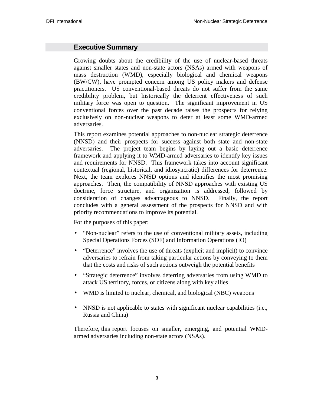## **Executive Summary**

Growing doubts about the credibility of the use of nuclear-based threats against smaller states and non-state actors (NSAs) armed with weapons of mass destruction (WMD), especially biological and chemical weapons (BW/CW), have prompted concern among US policy makers and defense practitioners. US conventional-based threats do not suffer from the same credibility problem, but historically the deterrent effectiveness of such military force was open to question. The significant improvement in US conventional forces over the past decade raises the prospects for relying exclusively on non-nuclear weapons to deter at least some WMD-armed adversaries.

This report examines potential approaches to non-nuclear strategic deterrence (NNSD) and their prospects for success against both state and non-state adversaries. The project team begins by laying out a basic deterrence framework and applying it to WMD-armed adversaries to identify key issues and requirements for NNSD. This framework takes into account significant contextual (regional, historical, and idiosyncratic) differences for deterrence. Next, the team explores NNSD options and identifies the most promising approaches. Then, the compatibility of NNSD approaches with existing US doctrine, force structure, and organization is addressed, followed by consideration of changes advantageous to NNSD. Finally, the report concludes with a general assessment of the prospects for NNSD and with priority recommendations to improve its potential.

For the purposes of this paper:

- "Non-nuclear" refers to the use of conventional military assets, including Special Operations Forces (SOF) and Information Operations (IO)
- "Deterrence" involves the use of threats (explicit and implicit) to convince adversaries to refrain from taking particular actions by conveying to them that the costs and risks of such actions outweigh the potential benefits
- "Strategic deterrence" involves deterring adversaries from using WMD to attack US territory, forces, or citizens along with key allies
- WMD is limited to nuclear, chemical, and biological (NBC) weapons
- NNSD is not applicable to states with significant nuclear capabilities (i.e., Russia and China)

Therefore, this report focuses on smaller, emerging, and potential WMDarmed adversaries including non-state actors (NSAs).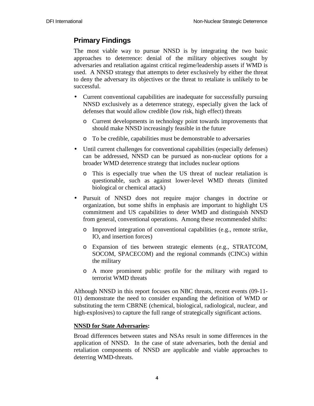## **Primary Findings**

The most viable way to pursue NNSD is by integrating the two basic approaches to deterrence: denial of the military objectives sought by adversaries and retaliation against critical regime/leadership assets if WMD is used. A NNSD strategy that attempts to deter exclusively by either the threat to deny the adversary its objectives or the threat to retaliate is unlikely to be successful.

- Current conventional capabilities are inadequate for successfully pursuing NNSD exclusively as a deterrence strategy*,* especially given the lack of defenses that would allow credible (low risk, high effect) threats
	- o Current developments in technology point towards improvements that should make NNSD increasingly feasible in the future
	- o To be credible, capabilities must be demonstrable to adversaries
- Until current challenges for conventional capabilities (especially defenses) can be addressed, NNSD can be pursued as non-nuclear options for a broader WMD deterrence strategy that includes nuclear options
	- o This is especially true when the US threat of nuclear retaliation is questionable, such as against lower-level WMD threats (limited biological or chemical attack)
- Pursuit of NNSD does not require major changes in doctrine or organization, but some shifts in emphasis are important to highlight US commitment and US capabilities to deter WMD and distinguish NNSD from general, conventional operations. Among these recommended shifts:
	- o Improved integration of conventional capabilities (e.g., remote strike, IO, and insertion forces)
	- o Expansion of ties between strategic elements (e.g., STRATCOM, SOCOM, SPACECOM) and the regional commands (CINCs) within the military
	- o A more prominent public profile for the military with regard to terrorist WMD threats

Although NNSD in this report focuses on NBC threats, recent events (09-11- 01) demonstrate the need to consider expanding the definition of WMD or substituting the term CBRNE (chemical, biological, radiological, nuclear, and high-explosives) to capture the full range of strategically significant actions.

## **NNSD for State Adversaries:**

Broad differences between states and NSAs result in some differences in the application of NNSD. In the case of state adversaries, both the denial and retaliation components of NNSD are applicable and viable approaches to deterring WMD-threats.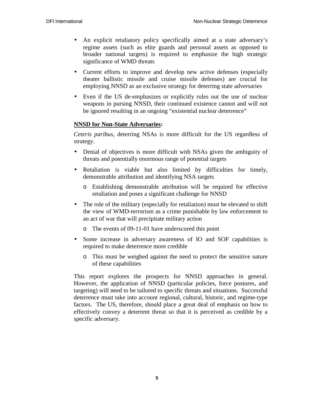- An explicit retaliatory policy specifically aimed at a state adversary's regime assets (such as elite guards and personal assets as opposed to broader national targets) is required to emphasize the high strategic significance of WMD threats
- Current efforts to improve and develop new active defenses (especially theater ballistic missile and cruise missile defenses) are crucial for employing NNSD as an exclusive strategy for deterring state adversaries
- Even if the US de-emphasizes or explicitly rules out the use of nuclear weapons in pursing NNSD, their continued existence cannot and will not be ignored resulting in an ongoing "existential nuclear deterrence"

## **NNSD for Non-State Adversaries:**

*Ceteris paribus*, deterring NSAs is more difficult for the US regardless of strategy.

- Denial of objectives is more difficult with NSAs given the ambiguity of threats and potentially enormous range of potential targets
- Retaliation is viable but also limited by difficulties for timely, demonstrable attribution and identifying NSA targets
	- o Establishing demonstrable attribution will be required for effective retaliation and poses a significant challenge for NNSD
- The role of the military (especially for retaliation) must be elevated to shift the view of WMD-terrorism as a crime punishable by law enforcement to an act of war that will precipitate military action
	- o The events of 09-11-01 have underscored this point
- Some increase in adversary awareness of IO and SOF capabilities is required to make deterrence more credible
	- o This must be weighed against the need to protect the sensitive nature of these capabilities

This report explores the prospects for NNSD approaches in general. However, the application of NNSD (particular policies, force postures, and targeting) will need to be tailored to specific threats and situations. Successful deterrence must take into account regional, cultural, historic, and regime-type factors. The US, therefore, should place a great deal of emphasis on how to effectively convey a deterrent threat so that it is perceived as credible by a specific adversary.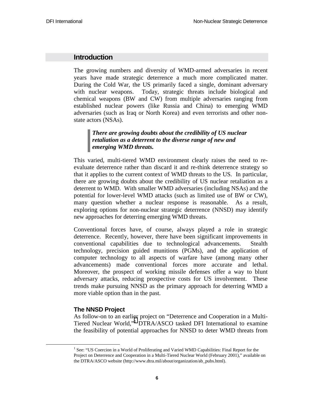## **Introduction**

The growing numbers and diversity of WMD-armed adversaries in recent years have made strategic deterrence a much more complicated matter. During the Cold War, the US primarily faced a single, dominant adversary with nuclear weapons. Today, strategic threats include biological and chemical weapons (BW and CW) from multiple adversaries ranging from established nuclear powers (like Russia and China) to emerging WMD adversaries (such as Iraq or North Korea) and even terrorists and other nonstate actors (NSAs).

## *There are growing doubts about the credibility of US nuclear retaliation as a deterrent to the diverse range of new and emerging WMD threats.*

This varied, multi-tiered WMD environment clearly raises the need to reevaluate deterrence rather than discard it and re-think deterrence strategy so that it applies to the current context of WMD threats to the US. In particular, there are growing doubts about the credibility of US nuclear retaliation as a deterrent to WMD. With smaller WMD adversaries (including NSAs) and the potential for lower-level WMD attacks (such as limited use of BW or CW), many question whether a nuclear response is reasonable. As a result, exploring options for non-nuclear strategic deterrence (NNSD) may identify new approaches for deterring emerging WMD threats.

Conventional forces have, of course, always played a role in strategic deterrence. Recently, however, there have been significant improvements in conventional capabilities due to technological advancements. Stealth technology, precision guided munitions (PGMs), and the application of computer technology to all aspects of warfare have (among many other advancements) made conventional forces more accurate and lethal. Moreover, the prospect of working missile defenses offer a way to blunt adversary attacks, reducing prospective costs for US involvement. These trends make pursuing NNSD as the primary approach for deterring WMD a more viable option than in the past.

## **The NNSD Project**

As follow-on to an earlier project on "Deterrence and Cooperation in a Multi-Tiered Nuclear World,"<sup>1</sup> DTRA/ASCO tasked DFI International to examine the feasibility of potential approaches for NNSD to deter WMD threats from

 <sup>1</sup> <sup>1</sup> See: "US Coercion in a World of Proliferating and Varied WMD Capabilities: Final Report for the Project on Deterrence and Cooperation in a Multi-Tiered Nuclear World (February 2001)," available on the DTRA/ASCO website (http://www.dtra.mil/about/organization/ab\_pubs.html).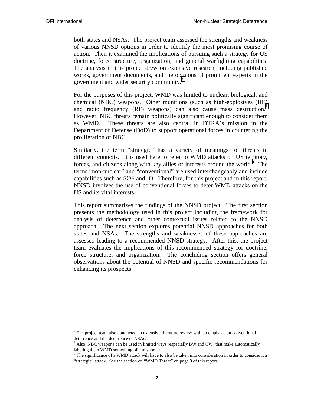both states and NSAs. The project team assessed the strengths and weakness of various NNSD options in order to identify the most promising course of action. Then it examined the implications of pursuing such a strategy for US doctrine, force structure, organization, and general warfighting capabilities. The analysis in this project drew on extensive research, including published works, government documents, and the opinions of prominent experts in the government and wider security community.<sup>2</sup>

For the purposes of this project, WMD was limited to nuclear, biological, and chemical (NBC) weapons. Other munitions (such as high-explosives (HE) and radio frequency (RF) weapons) can also cause mass destruction.<sup>3</sup> However, NBC threats remain politically significant enough to consider them as WMD. These threats are also central in DTRA's mission in the Department of Defense (DoD) to support operational forces in countering the proliferation of NBC.

Similarly, the term "strategic" has a variety of meanings for threats in different contexts. It is used here to refer to WMD attacks on US territory, forces, and citizens along with key allies or interests around the world.<sup>4</sup> The terms "non-nuclear" and "conventional" are used interchangeably and include capabilities such as SOF and IO. Therefore, for this project and in this report, NNSD involves the use of conventional forces to deter WMD attacks on the US and its vital interests.

This report summarizes the findings of the NNSD project. The first section presents the methodology used in this project including the framework for analysis of deterrence and other contextual issues related to the NNSD approach. The next section explores potential NNSD approaches for both states and NSAs. The strengths and weaknesses of these approaches are assessed leading to a recommended NNSD strategy. After this, the project team evaluates the implications of this recommended strategy for doctrine, force structure, and organization. The concluding section offers general observations about the potential of NNSD and specific recommendations for enhancing its prospects.

 <sup>2</sup> <sup>2</sup> The project team also conducted an extensive literature review with an emphasis on conventional deterrence and the deterrence of NSAs.

 $3$  Also, NBC weapons can be used in limited ways (especially BW and CW) that make automatically labeling them WMD something of a misnomer.

<sup>&</sup>lt;sup>4</sup> The significance of a WMD attack will have to also be taken into consideration in order to consider it a "strategic" attack. See the section on "WMD Threat" on page 9 of this report.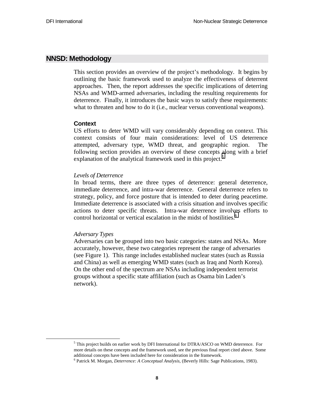## **NNSD: Methodology**

This section provides an overview of the project's methodology. It begins by outlining the basic framework used to analyze the effectiveness of deterrent approaches. Then, the report addresses the specific implications of deterring NSAs and WMD-armed adversaries, including the resulting requirements for deterrence. Finally, it introduces the basic ways to satisfy these requirements: what to threaten and how to do it (i.e., nuclear versus conventional weapons).

#### **Context**

US efforts to deter WMD will vary considerably depending on context. This context consists of four main considerations: level of US deterrence attempted, adversary type, WMD threat, and geographic region. The following section provides an overview of these concepts along with a brief explanation of the analytical framework used in this project.<sup>5</sup>

#### *Levels of Deterrence*

In broad terms, there are three types of deterrence: general deterrence, immediate deterrence, and intra-war deterrence. General deterrence refers to strategy, policy, and force posture that is intended to deter during peacetime. Immediate deterrence is associated with a crisis situation and involves specific actions to deter specific threats. Intra-war deterrence involves efforts to control horizontal or vertical escalation in the midst of hostilities.<sup>6</sup>

#### *Adversary Types*

Adversaries can be grouped into two basic categories: states and NSAs. More accurately, however, these two categories represent the range of adversaries (see Figure 1). This range includes established nuclear states (such as Russia and China) as well as emerging WMD states (such as Iraq and North Korea). On the other end of the spectrum are NSAs including independent terrorist groups without a specific state affiliation (such as Osama bin Laden's network).

 $\overline{\phantom{0}}$ <sup>5</sup> This project builds on earlier work by DFI International for DTRA/ASCO on WMD deterrence. For more details on these concepts and the framework used, see the previous final report cited above. Some additional concepts have been included here for consideration in the framework.

<sup>6</sup> Patrick M. Morgan, *Deterrence: A Conceptual Analysis,* (Beverly Hills: Sage Publications, 1983).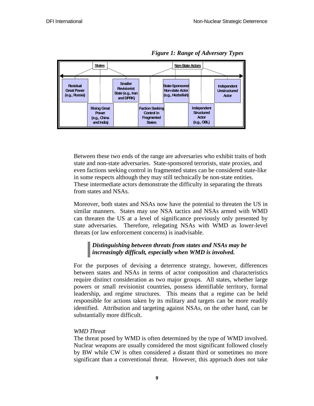

*Figure 1: Range of Adversary Types*

Between these two ends of the range are adversaries who exhibit traits of both state and non-state adversaries. State-sponsored terrorists, state proxies, and even factions seeking control in fragmented states can be considered state-like in some respects although they may still technically be non-state entities. These intermediate actors demonstrate the difficulty in separating the threats from states and NSAs.

Moreover, both states and NSAs now have the potential to threaten the US in similar manners. States may use NSA tactics and NSAs armed with WMD can threaten the US at a level of significance previously only presented by state adversaries. Therefore, relegating NSAs with WMD as lower-level threats (or law enforcement concerns) is inadvisable.

## *Distinguishing between threats from states and NSAs may be increasingly difficult, especially when WMD is involved.*

For the purposes of devising a deterrence strategy, however, differences between states and NSAs in terms of actor composition and characteristics require distinct consideration as two major groups. All states, whether large powers or small revisionist countries, possess identifiable territory, formal leadership, and regime structures. This means that a regime can be held responsible for actions taken by its military and targets can be more readily identified. Attribution and targeting against NSAs, on the other hand, can be substantially more difficult.

#### *WMD Threat*

The threat posed by WMD is often determined by the type of WMD involved. Nuclear weapons are usually considered the most significant followed closely by BW while CW is often considered a distant third or sometimes no more significant than a conventional threat. However, this approach does not take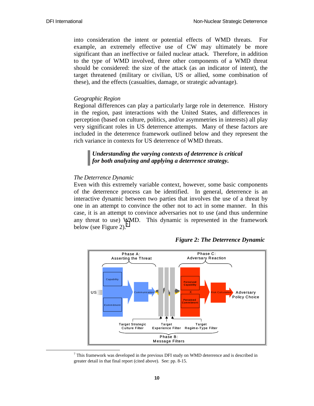into consideration the intent or potential effects of WMD threats. For example, an extremely effective use of CW may ultimately be more significant than an ineffective or failed nuclear attack. Therefore, in addition to the type of WMD involved, three other components of a WMD threat should be considered: the size of the attack (as an indicator of intent), the target threatened (military or civilian, US or allied, some combination of these), and the effects (casualties, damage, or strategic advantage).

#### *Geographic Region*

Regional differences can play a particularly large role in deterrence. History in the region, past interactions with the United States, and differences in perception (based on culture, politics, and/or asymmetries in interests) all play very significant roles in US deterrence attempts. Many of these factors are included in the deterrence framework outlined below and they represent the rich variance in contexts for US deterrence of WMD threats.

#### *Understanding the varying contexts of deterrence is critical for both analyzing and applying a deterrence strategy.*

#### *The Deterrence Dynamic*

Even with this extremely variable context, however, some basic components of the deterrence process can be identified. In general, deterrence is an interactive dynamic between two parties that involves the use of a threat by one in an attempt to convince the other not to act in some manner. In this case, it is an attempt to convince adversaries not to use (and thus undermine any threat to use) WMD. This dynamic is represented in the framework below (see Figure 2).<sup>7</sup>



*Figure 2: The Deterrence Dynamic* 

 <sup>7</sup>  $\frac{7}{7}$  This framework was developed in the previous DFI study on WMD deterrence and is described in greater detail in that final report (cited above). See: pp. 8-15.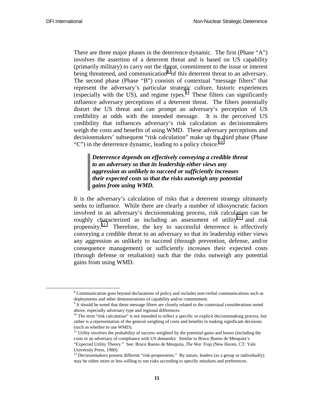There are three major phases in the deterrence dynamic. The first (Phase "A") involves the assertion of a deterrent threat and is based on US capability (primarily military) to carry out the threat, commitment to the issue or interest being threatened, and communication<sup>8</sup> of this deterrent threat to an adversary. The second phase (Phase "B") consists of contextual "message filters" that represent the adversary's particular strategic culture, historic experiences (especially with the US), and regime types. $\frac{1}{2}$  These filters can significantly influence adversary perceptions of a deterrent threat. The filters potentially distort the US threat and can prompt an adversary's perception of US credibility at odds with the intended message. It is the perceived US credibility that influences adversary's risk calculation as decisionmakers weigh the costs and benefits of using WMD. These adversary perceptions and decisionmakers' subsequent "risk calculation" make up the third phase (Phase "C") in the deterrence dynamic, leading to a policy choice.<sup>10</sup>

*Deterrence depends on effectively conveying a credible threat to an adversary so that its leadership either views any aggression as unlikely to succeed or sufficiently increases their expected costs so that the risks outweigh any potential gains from using WMD.* 

It is the adversary's calculation of risks that a deterrent strategy ultimately seeks to influence. While there are clearly a number of idiosyncratic factors involved in an adversary's decisionmaking process, risk calculation can be roughly characterized as including an assessment of utility<sup>11</sup> and risk propensity.<sup>12</sup> Therefore, the key to successful deterrence is effectively conveying a credible threat to an adversary so that its leadership either views any aggression as unlikely to succeed (through prevention, defense, and/or consequence management) or sufficiently increases their expected costs (through defense or retaliation) such that the risks outweigh any potential gains from using WMD.

 <sup>8</sup> <sup>8</sup> Communication goes beyond declarations of policy and includes non-verbal communications such as deployments and other demonstrations of capability and/or commitment.

 $9<sup>9</sup>$  It should be noted that these message filters are closely related to the contextual considerations noted above, especially adversary type and regional differences.

 $10$  The term "risk calculation" is not intended to reflect a specific or explicit decisionmaking process, but rather is a representation of the general weighing of costs and benefits in making significant decisions (such as whether to use WMD).

<sup>&</sup>lt;sup>11</sup> Utility involves the probability of success weighted by the potential gains and losses (including the costs to an adversary of compliance with US demands). Similar to Bruce Bueno de Mesquita's "Expected Utility Theory." See: Bruce Bueno de Mesquita, *The War Trap* (New Haven, CT: Yale University Press, 1980).

 $12$  Decisionmakers possess different "risk-propensities." By nature, leaders (as a group or individually) may be either more or less willing to run risks according to specific mindsets and preferences.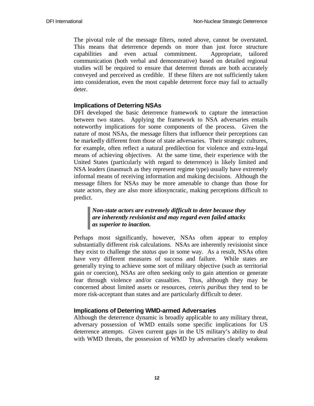The pivotal role of the message filters, noted above, cannot be overstated. This means that deterrence depends on more than just force structure capabilities and even actual commitment. Appropriate, tailored communication (both verbal and demonstrative) based on detailed regional studies will be required to ensure that deterrent threats are both accurately conveyed and perceived as credible. If these filters are not sufficiently taken into consideration, even the most capable deterrent force may fail to actually deter.

## **Implications of Deterring NSAs**

DFI developed the basic deterrence framework to capture the interaction between two states. Applying the framework to NSA adversaries entails noteworthy implications for some components of the process. Given the nature of most NSAs, the message filters that influence their perceptions can be markedly different from those of state adversaries. Their strategic cultures, for example, often reflect a natural predilection for violence and extra-legal means of achieving objectives. At the same time, their experience with the United States (particularly with regard to deterrence) is likely limited and NSA leaders (inasmuch as they represent regime type) usually have extremely informal means of receiving information and making decisions. Although the message filters for NSAs may be more amenable to change than those for state actors, they are also more idiosyncratic, making perceptions difficult to predict.

## *Non-state actors are extremely difficult to deter because they are inherently revisionist and may regard even failed attacks as superior to inaction.*

Perhaps most significantly, however, NSAs often appear to employ substantially different risk calculations. NSAs are inherently revisionist since they exist to challenge the *status quo* in some way. As a result, NSAs often have very different measures of success and failure. While states are generally trying to achieve some sort of military objective (such as territorial gain or coercion), NSAs are often seeking only to gain attention or generate fear through violence and/or casualties. Thus, although they may be concerned about limited assets or resources, *ceteris paribus* they tend to be more risk-acceptant than states and are particularly difficult to deter.

## **Implications of Deterring WMD-armed Adversaries**

Although the deterrence dynamic is broadly applicable to any military threat, adversary possession of WMD entails some specific implications for US deterrence attempts. Given current gaps in the US military's ability to deal with WMD threats, the possession of WMD by adversaries clearly weakens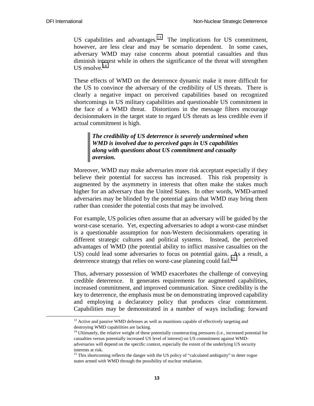US capabilities and advantages.<sup>13</sup> The implications for US commitment, however, are less clear and may be scenario dependent. In some cases, adversary WMD may raise concerns about potential casualties and thus diminish interest while in others the significance of the threat will strengthen US resolve. $^{14}$ 

These effects of WMD on the deterrence dynamic make it more difficult for the US to convince the adversary of the credibility of US threats. There is clearly a negative impact on perceived capabilities based on recognized shortcomings in US military capabilities and questionable US commitment in the face of a WMD threat. Distortions in the message filters encourage decisionmakers in the target state to regard US threats as less credible even if actual commitment is high.

### *The credibility of US deterrence is severely undermined when WMD is involved due to perceived gaps in US capabilities along with questions about US commitment and casualty aversion.*

Moreover, WMD may make adversaries more risk acceptant especially if they believe their potential for success has increased. This risk propensity is augmented by the asymmetry in interests that often make the stakes much higher for an adversary than the United States. In other words, WMD-armed adversaries may be blinded by the potential gains that WMD may bring them rather than consider the potential costs that may be involved.

For example, US policies often assume that an adversary will be guided by the worst-case scenario. Yet, expecting adversaries to adopt a worst-case mindset is a questionable assumption for non-Western decisionmakers operating in different strategic cultures and political systems. Instead, the perceived advantages of WMD (the potential ability to inflict massive casualties on the US) could lead some adversaries to focus on potential gains. As a result, a deterrence strategy that relies on worst-case planning could fail.<sup>15</sup>

Thus, adversary possession of WMD exacerbates the challenge of conveying credible deterrence. It generates requirements for augmented capabilities, increased commitment, and improved communication. Since credibility is the key to deterrence, the emphasis must be on demonstrating improved capability and employing a declaratory policy that produces clear commitment. Capabilities may be demonstrated in a number of ways including: forward

 $13$  Active and passive WMD defenses as well as munitions capable of effectively targeting and destroying WMD capabilities are lacking.

 $14$  Ultimately, the relative weight of these potentially counteracting pressures (i.e., increased potential for casualties versus potentially increased US level of interest) on US commitment against WMDadversaries will depend on the specific context, especially the extent of the underlying US security interests at risk.

<sup>&</sup>lt;sup>15</sup> This shortcoming reflects the danger with the US policy of "calculated ambiguity" to deter rogue states armed with WMD through the possibility of nuclear retaliation.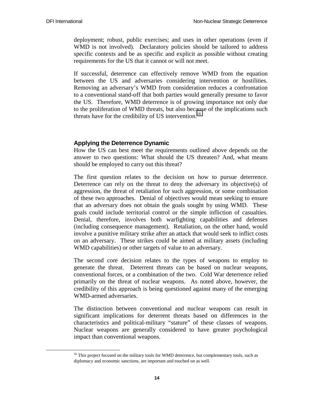deployment; robust, public exercises; and uses in other operations (even if WMD is not involved). Declaratory policies should be tailored to address specific contexts and be as specific and explicit as possible without creating requirements for the US that it cannot or will not meet.

If successful, deterrence can effectively remove WMD from the equation between the US and adversaries considering intervention or hostilities. Removing an adversary's WMD from consideration reduces a confrontation to a conventional stand-off that both parties would generally presume to favor the US. Therefore, WMD deterrence is of growing importance not only due to the proliferation of WMD threats, but also because of the implications such threats have for the credibility of US intervention.<sup>16</sup>

#### **Applying the Deterrence Dynamic**

How the US can best meet the requirements outlined above depends on the answer to two questions: What should the US threaten? And, what means should be employed to carry out this threat?

The first question relates to the decision on how to pursue deterrence. Deterrence can rely on the threat to deny the adversary its objective(s) of aggression, the threat of retaliation for such aggression, or some combination of these two approaches. Denial of objectives would mean seeking to ensure that an adversary does not obtain the goals sought by using WMD. These goals could include territorial control or the simple infliction of casualties. Denial, therefore, involves both warfighting capabilities and defenses (including consequence management). Retaliation, on the other hand, would involve a punitive military strike after an attack that would seek to inflict costs on an adversary. These strikes could be aimed at military assets (including WMD capabilities) or other targets of value to an adversary.

The second core decision relates to the types of weapons to employ to generate the threat. Deterrent threats can be based on nuclear weapons, conventional forces, or a combination of the two. Cold War deterrence relied primarily on the threat of nuclear weapons. As noted above, however, the credibility of this approach is being questioned against many of the emerging WMD-armed adversaries.

The distinction between conventional and nuclear weapons can result in significant implications for deterrent threats based on differences in the characteristics and political-military "stature" of these classes of weapons. Nuclear weapons are generally considered to have greater psychological impact than conventional weapons.

<sup>&</sup>lt;sup>16</sup> This project focused on the military tools for WMD deterrence, but complementary tools, such as diplomacy and economic sanctions, are important and touched on as well.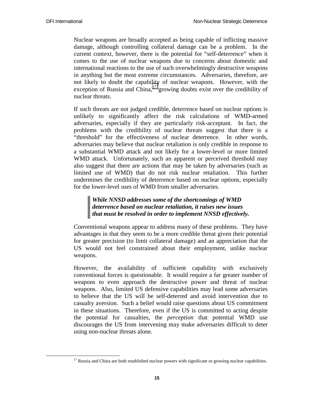Nuclear weapons are broadly accepted as being capable of inflicting massive damage, although controlling collateral damage can be a problem. In the current context, however, there is the potential for "self-deterrence" when it comes to the use of nuclear weapons due to concerns about domestic and international reactions to the use of such overwhelmingly destructive weapons in anything but the most extreme circumstances. Adversaries, therefore, are not likely to doubt the capability of nuclear weapons. However, with the exception of Russia and China, $17$  growing doubts exist over the credibility of nuclear threats.

If such threats are not judged credible, deterrence based on nuclear options is unlikely to significantly affect the risk calculations of WMD-armed adversaries, especially if they are particularly risk-acceptant. In fact, the problems with the credibility of nuclear threats suggest that there is a "threshold" for the effectiveness of nuclear deterrence. In other words, adversaries may believe that nuclear retaliation is only credible in response to a substantial WMD attack and not likely for a lower-level or more limited WMD attack. Unfortunately, such an apparent or perceived threshold may also suggest that there are actions that may be taken by adversaries (such as limited use of WMD) that do not risk nuclear retaliation. This further undermines the credibility of deterrence based on nuclear options, especially for the lower-level uses of WMD from smaller adversaries.

## *While NNSD addresses some of the shortcomings of WMD deterrence based on nuclear retaliation, it raises new issues that must be resolved in order to implement NNSD effectively.*

Conventional weapons appear to address many of these problems. They have advantages in that they seem to be a more credible threat given their potential for greater precision (to limit collateral damage) and an appreciation that the US would not feel constrained about their employment, unlike nuclear weapons.

However, the availability of sufficient capability with exclusively conventional forces is questionable. It would require a far greater number of weapons to even approach the destructive power and threat of nuclear weapons. Also, limited US defensive capabilities may lead some adversaries to believe that the US will be self-deterred and avoid intervention due to casualty aversion. Such a belief would raise questions about US commitment in these situations. Therefore, even if the US is committed to acting despite the potential for casualties, the *perception* that potential WMD use discourages the US from intervening may make adversaries difficult to deter using non-nuclear threats alone.

 $17$  Russia and China are both established nuclear powers with significant or growing nuclear capabilities.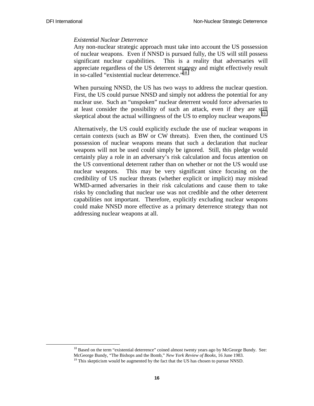#### *Existential Nuclear Deterrence*

Any non-nuclear strategic approach must take into account the US possession of nuclear weapons. Even if NNSD is pursued fully, the US will still possess significant nuclear capabilities. This is a reality that adversaries will appreciate regardless of the US deterrent strategy and might effectively result in so-called "existential nuclear deterrence."<sup>18</sup>

When pursuing NNSD, the US has two ways to address the nuclear question. First, the US could pursue NNSD and simply not address the potential for any nuclear use. Such an "unspoken" nuclear deterrent would force adversaries to at least consider the possibility of such an attack, even if they are still skeptical about the actual willingness of the US to employ nuclear weapons.<sup>19</sup>

Alternatively, the US could explicitly exclude the use of nuclear weapons in certain contexts (such as BW or CW threats). Even then, the continued US possession of nuclear weapons means that such a declaration that nuclear weapons will not be used could simply be ignored. Still, this pledge would certainly play a role in an adversary's risk calculation and focus attention on the US conventional deterrent rather than on whether or not the US would use nuclear weapons. This may be very significant since focusing on the credibility of US nuclear threats (whether explicit or implicit) may mislead WMD-armed adversaries in their risk calculations and cause them to take risks by concluding that nuclear use was not credible and the other deterrent capabilities not important. Therefore, explicitly excluding nuclear weapons could make NNSD more effective as a primary deterrence strategy than not addressing nuclear weapons at all.

<sup>&</sup>lt;sup>18</sup> Based on the term "existential deterrence" coined almost twenty years ago by McGeorge Bundy. See: McGeorge Bundy, "The Bishops and the Bomb," *New York Review of Books*, 16 June 1983.

<sup>&</sup>lt;sup>19</sup> This skepticism would be augmented by the fact that the US has chosen to pursue NNSD.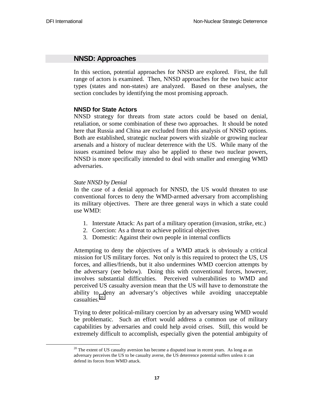## **NNSD: Approaches**

In this section, potential approaches for NNSD are explored. First, the full range of actors is examined. Then, NNSD approaches for the two basic actor types (states and non-states) are analyzed. Based on these analyses, the section concludes by identifying the most promising approach.

#### **NNSD for State Actors**

NNSD strategy for threats from state actors could be based on denial, retaliation, or some combination of these two approaches. It should be noted here that Russia and China are excluded from this analysis of NNSD options. Both are established, strategic nuclear powers with sizable or growing nuclear arsenals and a history of nuclear deterrence with the US. While many of the issues examined below may also be applied to these two nuclear powers, NNSD is more specifically intended to deal with smaller and emerging WMD adversaries.

#### *State NNSD by Denial*

In the case of a denial approach for NNSD, the US would threaten to use conventional forces to deny the WMD-armed adversary from accomplishing its military objectives. There are three general ways in which a state could use WMD:

- 1. Interstate Attack: As part of a military operation (invasion, strike, etc.)
- 2. Coercion: As a threat to achieve political objectives
- 3. Domestic: Against their own people in internal conflicts

Attempting to deny the objectives of a WMD attack is obviously a critical mission for US military forces. Not only is this required to protect the US, US forces, and allies/friends, but it also undermines WMD coercion attempts by the adversary (see below). Doing this with conventional forces, however, involves substantial difficulties. Perceived vulnerabilities to WMD and perceived US casualty aversion mean that the US will have to demonstrate the ability to deny an adversary's objectives while avoiding unacceptable casualties.<sup>20</sup>

Trying to deter political-military coercion by an adversary using WMD would be problematic. Such an effort would address a common use of military capabilities by adversaries and could help avoid crises. Still, this would be extremely difficult to accomplish, especially given the potential ambiguity of

 $20$  The extent of US casualty aversion has become a disputed issue in recent years. As long as an adversary perceives the US to be casualty averse, the US deterrence potential suffers unless it can defend its forces from WMD attack.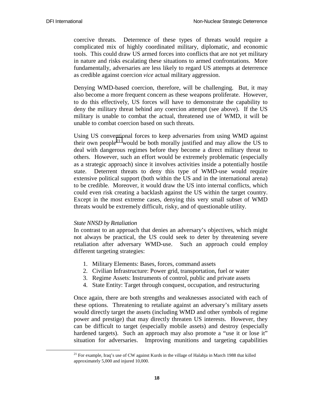coercive threats. Deterrence of these types of threats would require a complicated mix of highly coordinated military, diplomatic, and economic tools. This could draw US armed forces into conflicts that are not yet military in nature and risks escalating these situations to armed confrontations. More fundamentally, adversaries are less likely to regard US attempts at deterrence as credible against coercion *vice* actual military aggression.

Denying WMD-based coercion, therefore, will be challenging. But, it may also become a more frequent concern as these weapons proliferate. However, to do this effectively, US forces will have to demonstrate the capability to deny the military threat behind any coercion attempt (see above). If the US military is unable to combat the actual, threatened use of WMD, it will be unable to combat coercion based on such threats.

Using US conventional forces to keep adversaries from using WMD against their own people<sup>21</sup> would be both morally justified and may allow the US to deal with dangerous regimes before they become a direct military threat to others. However, such an effort would be extremely problematic (especially as a strategic approach) since it involves activities inside a potentially hostile state. Deterrent threats to deny this type of WMD-use would require extensive political support (both within the US and in the international arena) to be credible. Moreover, it would draw the US into internal conflicts, which could even risk creating a backlash against the US within the target country. Except in the most extreme cases, denying this very small subset of WMD threats would be extremely difficult, risky, and of questionable utility.

#### *State NNSD by Retaliation*

In contrast to an approach that denies an adversary's objectives, which might not always be practical, the US could seek to deter by threatening severe retaliation after adversary WMD-use. Such an approach could employ different targeting strategies:

- 1. Military Elements: Bases, forces, command assets
- 2. Civilian Infrastructure: Power grid, transportation, fuel or water
- 3. Regime Assets: Instruments of control, public and private assets
- 4. State Entity: Target through conquest, occupation, and restructuring

Once again, there are both strengths and weaknesses associated with each of these options. Threatening to retaliate against an adversary's military assets would directly target the assets (including WMD and other symbols of regime power and prestige) that may directly threaten US interests. However, they can be difficult to target (especially mobile assets) and destroy (especially hardened targets). Such an approach may also promote a "use it or lose it" situation for adversaries. Improving munitions and targeting capabilities

 $21$  For example, Iraq's use of CW against Kurds in the village of Halabja in March 1988 that killed approximately 5,000 and injured 10,000.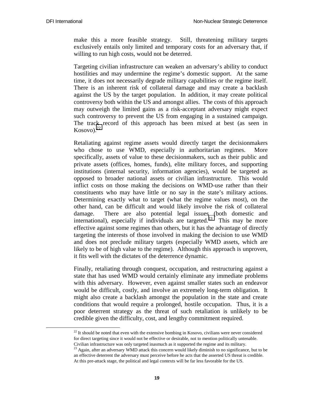make this a more feasible strategy. Still, threatening military targets exclusively entails only limited and temporary costs for an adversary that, if willing to run high costs, would not be deterred.

Targeting civilian infrastructure can weaken an adversary's ability to conduct hostilities and may undermine the regime's domestic support. At the same time, it does not necessarily degrade military capabilities or the regime itself. There is an inherent risk of collateral damage and may create a backlash against the US by the target population. In addition, it may create political controversy both within the US and amongst allies. The costs of this approach may outweigh the limited gains as a risk-acceptant adversary might expect such controversy to prevent the US from engaging in a sustained campaign. The track record of this approach has been mixed at best (as seen in  $Kosov<sub>o</sub>$ .<sup>22</sup>

Retaliating against regime assets would directly target the decisionmakers who chose to use WMD, especially in authoritarian regimes. More specifically, assets of value to these decisionmakers, such as their public and private assets (offices, homes, funds), elite military forces, and supporting institutions (internal security, information agencies), would be targeted as opposed to broader national assets or civilian infrastructure. This would inflict costs on those making the decisions on WMD-use rather than their constituents who may have little or no say in the state's military actions. Determining exactly what to target (what the regime values most), on the other hand, can be difficult and would likely involve the risk of collateral damage. There are also potential legal issues (both domestic and international), especially if individuals are targeted.<sup>23</sup> This may be more effective against some regimes than others, but it has the advantage of directly targeting the interests of those involved in making the decision to use WMD and does not preclude military targets (especially WMD assets, which are likely to be of high value to the regime). Although this approach is unproven, it fits well with the dictates of the deterrence dynamic.

Finally, retaliating through conquest, occupation, and restructuring against a state that has used WMD would certainly eliminate any immediate problems with this adversary. However, even against smaller states such an endeavor would be difficult, costly, and involve an extremely long-term obligation. It might also create a backlash amongst the population in the state and create conditions that would require a prolonged, hostile occupation. Thus, it is a poor deterrent strategy as the threat of such retaliation is unlikely to be credible given the difficulty, cost, and lengthy commitment required.

 $22$  It should be noted that even with the extensive bombing in Kosovo, civilians were never considered for direct targeting since it would not be effective or desirable, not to mention politically untenable. Civilian infrastructure was only targeted inasmuch as it supported the regime and its military.

 $23$  Again, after an adversary WMD attack this concern would likely diminish to no significance, but to be an effective deterrent the adversary must perceive before he acts that the asserted US threat is credible. At this pre-attack stage, the political and legal contexts will be far less favorable for the US.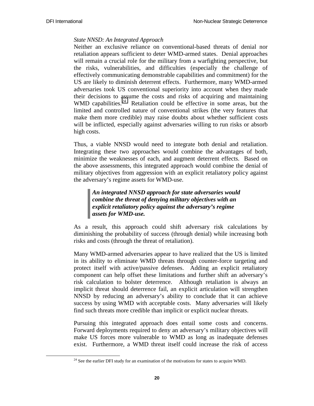## *State NNSD: An Integrated Approach*

Neither an exclusive reliance on conventional-based threats of denial nor retaliation appears sufficient to deter WMD-armed states. Denial approaches will remain a crucial role for the military from a warfighting perspective, but the risks, vulnerabilities, and difficulties (especially the challenge of effectively communicating demonstrable capabilities and commitment) for the US are likely to diminish deterrent effects. Furthermore, many WMD-armed adversaries took US conventional superiority into account when they made their decisions to assume the costs and risks of acquiring and maintaining WMD capabilities.<sup>24</sup> Retaliation could be effective in some areas, but the limited and controlled nature of conventional strikes (the very features that make them more credible) may raise doubts about whether sufficient costs will be inflicted, especially against adversaries willing to run risks or absorb high costs.

Thus, a viable NNSD would need to integrate both denial and retaliation. Integrating these two approaches would combine the advantages of both, minimize the weaknesses of each, and augment deterrent effects. Based on the above assessments, this integrated approach would combine the denial of military objectives from aggression with an explicit retaliatory policy against the adversary's regime assets for WMD-use.

## *An integrated NNSD approach for state adversaries would combine the threat of denying military objectives with an explicit retaliatory policy against the adversary's regime assets for WMD-use.*

As a result, this approach could shift adversary risk calculations by diminishing the probability of success (through denial) while increasing both risks and costs (through the threat of retaliation).

Many WMD-armed adversaries appear to have realized that the US is limited in its ability to eliminate WMD threats through counter-force targeting and protect itself with active/passive defenses. Adding an explicit retaliatory component can help offset these limitations and further shift an adversary's risk calculation to bolster deterrence. Although retaliation is always an implicit threat should deterrence fail, an explicit articulation will strengthen NNSD by reducing an adversary's ability to conclude that it can achieve success by using WMD with acceptable costs. Many adversaries will likely find such threats more credible than implicit or explicit nuclear threats.

Pursuing this integrated approach does entail some costs and concerns. Forward deployments required to deny an adversary's military objectives will make US forces more vulnerable to WMD as long as inadequate defenses exist. Furthermore, a WMD threat itself could increase the risk of access

 $24$  See the earlier DFI study for an examination of the motivations for states to acquire WMD.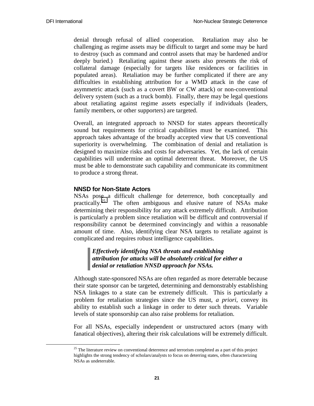denial through refusal of allied cooperation. Retaliation may also be challenging as regime assets may be difficult to target and some may be hard to destroy (such as command and control assets that may be hardened and/or deeply buried.) Retaliating against these assets also presents the risk of collateral damage (especially for targets like residences or facilities in populated areas). Retaliation may be further complicated if there are any difficulties in establishing attribution for a WMD attack in the case of asymmetric attack (such as a covert BW or CW attack) or non-conventional delivery system (such as a truck bomb). Finally, there may be legal questions about retaliating against regime assets especially if individuals (leaders, family members, or other supporters) are targeted.

Overall, an integrated approach to NNSD for states appears theoretically sound but requirements for critical capabilities must be examined. This approach takes advantage of the broadly accepted view that US conventional superiority is overwhelming. The combination of denial and retaliation is designed to maximize risks and costs for adversaries. Yet, the lack of certain capabilities will undermine an optimal deterrent threat. Moreover, the US must be able to demonstrate such capability and communicate its commitment to produce a strong threat.

## **NNSD for Non-State Actors**

NSAs pose a difficult challenge for deterrence, both conceptually and practically.<sup>25</sup> The often ambiguous and elusive nature of NSAs make determining their responsibility for any attack extremely difficult. Attribution is particularly a problem since retaliation will be difficult and controversial if responsibility cannot be determined convincingly and within a reasonable amount of time. Also, identifying clear NSA targets to retaliate against is complicated and requires robust intelligence capabilities.

## *Effectively identifying NSA threats and establishing attribution for attacks will be absolutely critical for either a denial or retaliation NNSD approach for NSAs.*

Although state-sponsored NSAs are often regarded as more deterrable because their state sponsor can be targeted, determining and demonstrably establishing NSA linkages to a state can be extremely difficult. This is particularly a problem for retaliation strategies since the US must, *a priori*, convey its ability to establish such a linkage in order to deter such threats. Variable levels of state sponsorship can also raise problems for retaliation.

For all NSAs, especially independent or unstructured actors (many with fanatical objectives), altering their risk calculations will be extremely difficult.

 $25$  The literature review on conventional deterrence and terrorism completed as a part of this project highlights the strong tendency of scholars/analysts to focus on deterring states, often characterizing NSAs as undeterrable.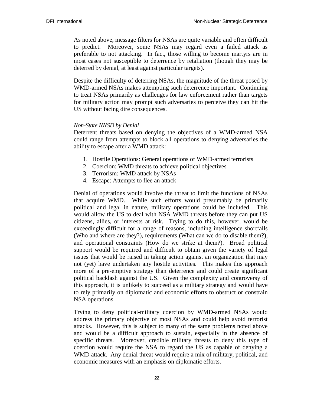As noted above, message filters for NSAs are quite variable and often difficult to predict. Moreover, some NSAs may regard even a failed attack as preferable to not attacking. In fact, those willing to become martyrs are in most cases not susceptible to deterrence by retaliation (though they may be deterred by denial, at least against particular targets).

Despite the difficulty of deterring NSAs, the magnitude of the threat posed by WMD-armed NSAs makes attempting such deterrence important. Continuing to treat NSAs primarily as challenges for law enforcement rather than targets for military action may prompt such adversaries to perceive they can hit the US without facing dire consequences.

#### *Non-State NNSD by Denial*

Deterrent threats based on denying the objectives of a WMD-armed NSA could range from attempts to block all operations to denying adversaries the ability to escape after a WMD attack:

- 1. Hostile Operations: General operations of WMD-armed terrorists
- 2. Coercion: WMD threats to achieve political objectives
- 3. Terrorism: WMD attack by NSAs
- 4. Escape: Attempts to flee an attack

Denial of operations would involve the threat to limit the functions of NSAs that acquire WMD. While such efforts would presumably be primarily political and legal in nature, military operations could be included. This would allow the US to deal with NSA WMD threats before they can put US citizens, allies, or interests at risk. Trying to do this, however, would be exceedingly difficult for a range of reasons, including intelligence shortfalls (Who and where are they?), requirements (What can we do to disable them?), and operational constraints (How do we strike at them?). Broad political support would be required and difficult to obtain given the variety of legal issues that would be raised in taking action against an organization that may not (yet) have undertaken any hostile activities. This makes this approach more of a pre-emptive strategy than deterrence and could create significant political backlash against the US. Given the complexity and controversy of this approach, it is unlikely to succeed as a military strategy and would have to rely primarily on diplomatic and economic efforts to obstruct or constrain NSA operations.

Trying to deny political-military coercion by WMD-armed NSAs would address the primary objective of most NSAs and could help avoid terrorist attacks. However, this is subject to many of the same problems noted above and would be a difficult approach to sustain, especially in the absence of specific threats. Moreover, credible military threats to deny this type of coercion would require the NSA to regard the US as capable of denying a WMD attack. Any denial threat would require a mix of military, political, and economic measures with an emphasis on diplomatic efforts.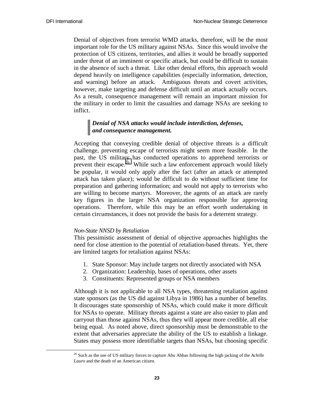Denial of objectives from terrorist WMD attacks, therefore, will be the most important role for the US military against NSAs. Since this would involve the protection of US citizens, territories, and allies it would be broadly supported under threat of an imminent or specific attack, but could be difficult to sustain in the absence of such a threat. Like other denial efforts, this approach would depend heavily on intelligence capabilities (especially information, detection, and warning) before an attack. Ambiguous threats and covert activities, however, make targeting and defense difficult until an attack actually occurs. As a result, consequence management will remain an important mission for the military in order to limit the casualties and damage NSAs are seeking to inflict.

## *Denial of NSA attacks would include interdiction, defenses, and consequence management.*

Accepting that conveying credible denial of objective threats is a difficult challenge, preventing escape of terrorists might seem more feasible. In the past, the US military has conducted operations to apprehend terrorists or prevent their escape.<sup>26</sup> While such a law enforcement approach would likely be popular, it would only apply after the fact (after an attack or attempted attack has taken place); would be difficult to do without sufficient time for preparation and gathering information; and would not apply to terrorists who are willing to become martyrs. Moreover, the agents of an attack are rarely key figures in the larger NSA organization responsible for approving operations. Therefore, while this may be an effort worth undertaking in certain circumstances, it does not provide the basis for a deterrent strategy.

#### *Non-State NNSD by Retaliation*

This pessimistic assessment of denial of objective approaches highlights the need for close attention to the potential of retaliation-based threats. Yet, there are limited targets for retaliation against NSAs:

- 1. State Sponsor: May include targets not directly associated with NSA
- 2. Organization: Leadership, bases of operations, other assets
- 3. Constituents: Represented groups or NSA members

Although it is not applicable to all NSA types, threatening retaliation against state sponsors (as the US did against Libya in 1986) has a number of benefits. It discourages state sponsorship of NSAs, which could make it more difficult for NSAs to operate. Military threats against a state are also easier to plan and carryout than those against NSAs, thus they will appear more credible, all else being equal. As noted above, direct sponsorship must be demonstrable to the extent that adversaries appreciate the ability of the US to establish a linkage. States may possess more identifiable targets than NSAs, but choosing specific

 <sup>26</sup> Such as the use of US military forces to capture Abu Abbas following the high jacking of the *Achille Lauro* and the death of an American citizen.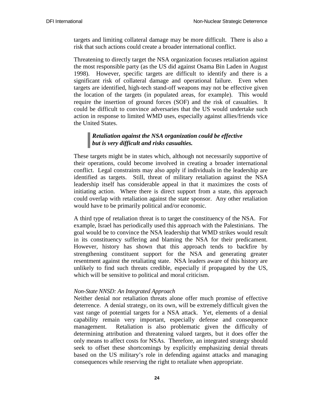targets and limiting collateral damage may be more difficult. There is also a risk that such actions could create a broader international conflict.

Threatening to directly target the NSA organization focuses retaliation against the most responsible party (as the US did against Osama Bin Laden in August 1998). However, specific targets are difficult to identify and there is a significant risk of collateral damage and operational failure. Even when targets are identified, high-tech stand-off weapons may not be effective given the location of the targets (in populated areas, for example). This would require the insertion of ground forces (SOF) and the risk of casualties. It could be difficult to convince adversaries that the US would undertake such action in response to limited WMD uses, especially against allies/friends vice the United States.

## *Retaliation against the NSA organization could be effective but is very difficult and risks casualties.*

These targets might be in states which, although not necessarily supportive of their operations, could become involved in creating a broader international conflict. Legal constraints may also apply if individuals in the leadership are identified as targets. Still, threat of military retaliation against the NSA leadership itself has considerable appeal in that it maximizes the costs of initiating action. Where there is direct support from a state, this approach could overlap with retaliation against the state sponsor. Any other retaliation would have to be primarily political and/or economic.

A third type of retaliation threat is to target the constituency of the NSA. For example, Israel has periodically used this approach with the Palestinians. The goal would be to convince the NSA leadership that WMD strikes would result in its constituency suffering and blaming the NSA for their predicament. However, history has shown that this approach tends to backfire by strengthening constituent support for the NSA and generating greater resentment against the retaliating state. NSA leaders aware of this history are unlikely to find such threats credible, especially if propagated by the US, which will be sensitive to political and moral criticism.

#### *Non-State NNSD: An Integrated Approach*

Neither denial nor retaliation threats alone offer much promise of effective deterrence. A denial strategy, on its own, will be extremely difficult given the vast range of potential targets for a NSA attack. Yet, elements of a denial capability remain very important, especially defense and consequence management. Retaliation is also problematic given the difficulty of determining attribution and threatening valued targets, but it does offer the only means to affect costs for NSAs. Therefore, an integrated strategy should seek to offset these shortcomings by explicitly emphasizing denial threats based on the US military's role in defending against attacks and managing consequences while reserving the right to retaliate when appropriate.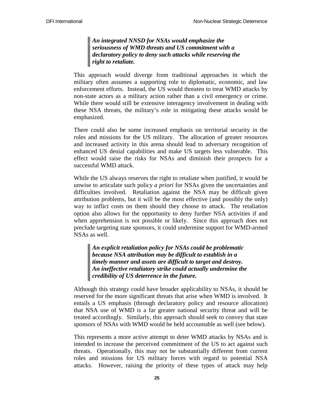*An integrated NNSD for NSAs would emphasize the seriousness of WMD threats and US commitment with a declaratory policy to deny such attacks while reserving the right to retaliate.* 

This approach would diverge from traditional approaches in which the military often assumes a supporting role to diplomatic, economic, and law enforcement efforts. Instead, the US would threaten to treat WMD attacks by non-state actors as a military action rather than a civil emergency or crime. While there would still be extensive interagency involvement in dealing with these NSA threats, the military's role in mitigating these attacks would be emphasized.

There could also be some increased emphasis on territorial security in the roles and missions for the US military. The allocation of greater resources and increased activity in this arena should lead to adversary recognition of enhanced US denial capabilities and make US targets less vulnerable. This effect would raise the risks for NSAs and diminish their prospects for a successful WMD attack.

While the US always reserves the right to retaliate when justified, it would be unwise to articulate such policy *a priori* for NSAs given the uncertainties and difficulties involved. Retaliation against the NSA may be difficult given attribution problems, but it will be the most effective (and possibly the only) way to inflict costs on them should they choose to attack. The retaliation option also allows for the opportunity to deny further NSA activities if and when apprehension is not possible or likely. Since this approach does not preclude targeting state sponsors, it could undermine support for WMD-armed NSAs as well.

*An explicit retaliation policy for NSAs could be problematic because NSA attribution may be difficult to establish in a timely manner and assets are difficult to target and destroy. An ineffective retaliatory strike could actually undermine the credibility of US deterrence in the future.* 

Although this strategy could have broader applicability to NSAs, it should be reserved for the more significant threats that arise when WMD is involved. It entails a US emphasis (through declaratory policy and resource allocation) that NSA use of WMD is a far greater national security threat and will be treated accordingly. Similarly, this approach should seek to convey that state sponsors of NSAs with WMD would be held accountable as well (see below).

This represents a more active attempt to deter WMD attacks by NSAs and is intended to increase the perceived commitment of the US to act against such threats. Operationally, this may not be substantially different from current roles and missions for US military forces with regard to potential NSA attacks. However, raising the priority of these types of attack may help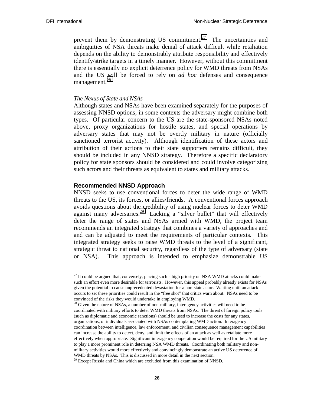prevent them by demonstrating US commitment.<sup>27</sup> The uncertainties and ambiguities of NSA threats make denial of attack difficult while retaliation depends on the ability to demonstrably attribute responsibility and effectively identify/strike targets in a timely manner. However, without this commitment there is essentially no explicit deterrence policy for WMD threats from NSAs and the US will be forced to rely on *ad hoc* defenses and consequence management.<sup>28</sup>

#### *The Nexus of State and NSAs*

Although states and NSAs have been examined separately for the purposes of assessing NNSD options, in some contexts the adversary might combine both types. Of particular concern to the US are the state-sponsored NSAs noted above, proxy organizations for hostile states, and special operations by adversary states that may not be overtly military in nature (officially sanctioned terrorist activity). Although identification of these actors and attribution of their actions to their state supporters remains difficult, they should be included in any NNSD strategy. Therefore a specific declaratory policy for state sponsors should be considered and could involve categorizing such actors and their threats as equivalent to states and military attacks.

#### **Recommended NNSD Approach**

NNSD seeks to use conventional forces to deter the wide range of WMD threats to the US, its forces, or allies/friends. A conventional forces approach avoids questions about the credibility of using nuclear forces to deter WMD against many adversaries.<sup>29</sup> Lacking a "silver bullet" that will effectively deter the range of states and NSAs armed with WMD, the project team recommends an integrated strategy that combines a variety of approaches and and can be adjusted to meet the requirements of particular contexts. This integrated strategy seeks to raise WMD threats to the level of a significant, strategic threat to national security, regardless of the type of adversary (state or NSA). This approach is intended to emphasize demonstrable US

 $27$  It could be argued that, conversely, placing such a high priority on NSA WMD attacks could make such an effort even more desirable for terrorists. However, this appeal probably already exists for NSAs given the potential to cause unprecedented devastation for a non-state actor. Waiting until an attack occurs to set these priorities could result in the "free shot" that critics warn about. NSAs need to be convinced of the risks they would undertake in employing WMD.

 $28$  Given the nature of NSAs, a number of non-military, interagency activities will need to be coordinated with military efforts to deter WMD threats from NSAs. The threat of foreign policy tools (such as diplomatic and economic sanctions) should be used to increase the costs for any states, organizations, or individuals associated with NSAs contemplating WMD action. Interagency coordination between intelligence, law enforcement, and civilian consequence management capabilities can increase the ability to detect, deny, and limit the effects of an attack as well as retaliate more effectively when appropriate. Significant interagency cooperation would be required for the US military to play a more prominent role in deterring NSA WMD threats. Coordinating both military and nonmilitary activities would more effectively and convincingly demonstrate an active US deterrence of WMD threats by NSAs. This is discussed in more detail in the next section.

<sup>&</sup>lt;sup>29</sup> Except Russia and China which are excluded from this examination of NNSD.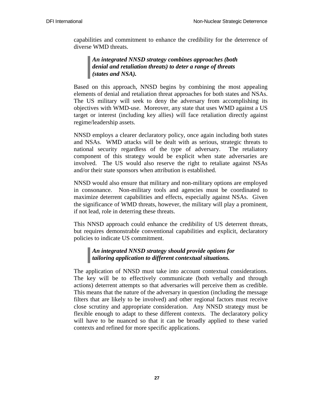capabilities and commitment to enhance the credibility for the deterrence of diverse WMD threats.

## *An integrated NNSD strategy combines approaches (both denial and retaliation threats) to deter a range of threats (states and NSA).*

Based on this approach, NNSD begins by combining the most appealing elements of denial and retaliation threat approaches for both states and NSAs. The US military will seek to deny the adversary from accomplishing its objectives with WMD-use. Moreover, any state that uses WMD against a US target or interest (including key allies) will face retaliation directly against regime/leadership assets.

NNSD employs a clearer declaratory policy, once again including both states and NSAs. WMD attacks will be dealt with as serious, strategic threats to national security regardless of the type of adversary. The retaliatory component of this strategy would be explicit when state adversaries are involved. The US would also reserve the right to retaliate against NSAs and/or their state sponsors when attribution is established.

NNSD would also ensure that military and non-military options are employed in consonance. Non-military tools and agencies must be coordinated to maximize deterrent capabilities and effects, especially against NSAs. Given the significance of WMD threats, however, the military will play a prominent, if not lead, role in deterring these threats.

This NNSD approach could enhance the credibility of US deterrent threats, but requires demonstrable conventional capabilities and explicit, declaratory policies to indicate US commitment.

## *An integrated NNSD strategy should provide options for tailoring application to different contextual situations.*

The application of NNSD must take into account contextual considerations. The key will be to effectively communicate (both verbally and through actions) deterrent attempts so that adversaries will perceive them as credible. This means that the nature of the adversary in question (including the message filters that are likely to be involved) and other regional factors must receive close scrutiny and appropriate consideration. Any NNSD strategy must be flexible enough to adapt to these different contexts. The declaratory policy will have to be nuanced so that it can be broadly applied to these varied contexts and refined for more specific applications.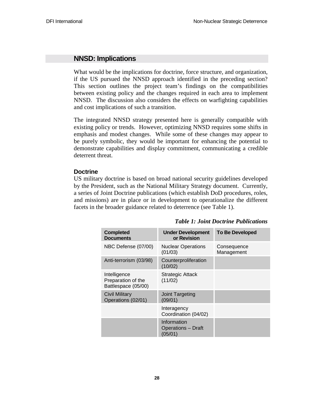## **NNSD: Implications**

What would be the implications for doctrine, force structure, and organization, if the US pursued the NNSD approach identified in the preceding section? This section outlines the project team's findings on the compatibilities between existing policy and the changes required in each area to implement NNSD. The discussion also considers the effects on warfighting capabilities and cost implications of such a transition.

The integrated NNSD strategy presented here is generally compatible with existing policy or trends. However, optimizing NNSD requires some shifts in emphasis and modest changes. While some of these changes may appear to be purely symbolic, they would be important for enhancing the potential to demonstrate capabilities and display commitment, communicating a credible deterrent threat.

#### **Doctrine**

US military doctrine is based on broad national security guidelines developed by the President, such as the National Military Strategy document. Currently, a series of Joint Doctrine publications (which establish DoD procedures, roles, and missions) are in place or in development to operationalize the different facets in the broader guidance related to deterrence (see Table 1).

| <b>Completed</b><br><b>Documents</b>                      | <b>Under Development</b><br>or Revision             | <b>To Be Developed</b>    |
|-----------------------------------------------------------|-----------------------------------------------------|---------------------------|
| NBC Defense (07/00)                                       | <b>Nuclear Operations</b><br>(01/03)                | Consequence<br>Management |
| Anti-terrorism (03/98)                                    | Counterproliferation<br>(10/02)                     |                           |
| Intelligence<br>Preparation of the<br>Battlespace (05/00) | <b>Strategic Attack</b><br>(11/02)                  |                           |
| <b>Civil Military</b><br>Operations (02/01)               | Joint Targeting<br>(09/01)                          |                           |
|                                                           | Interagency<br>Coordination (04/02)                 |                           |
|                                                           | Information<br><b>Operations - Draft</b><br>(05/01) |                           |

*Table 1: Joint Doctrine Publications*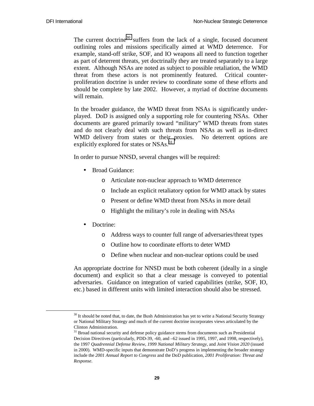The current doctrine<sup>30</sup> suffers from the lack of a single, focused document outlining roles and missions specifically aimed at WMD deterrence. For example, stand-off strike, SOF, and IO weapons all need to function together as part of deterrent threats, yet doctrinally they are treated separately to a large extent. Although NSAs are noted as subject to possible retaliation, the WMD threat from these actors is not prominently featured. Critical counterproliferation doctrine is under review to coordinate some of these efforts and should be complete by late 2002. However, a myriad of doctrine documents will remain.

In the broader guidance, the WMD threat from NSAs is significantly underplayed. DoD is assigned only a supporting role for countering NSAs. Other documents are geared primarily toward "military" WMD threats from states and do not clearly deal with such threats from NSAs as well as in-direct WMD delivery from states or their proxies. No deterrent options are explicitly explored for states or NSAs.<sup>31</sup>

In order to pursue NNSD, several changes will be required:

- Broad Guidance:
	- o Articulate non-nuclear approach to WMD deterrence
	- o Include an explicit retaliatory option for WMD attack by states
	- o Present or define WMD threat from NSAs in more detail
	- o Highlight the military's role in dealing with NSAs
- Doctrine:
	- o Address ways to counter full range of adversaries/threat types
	- o Outline how to coordinate efforts to deter WMD
	- o Define when nuclear and non-nuclear options could be used

An appropriate doctrine for NNSD must be both coherent (ideally in a single document) and explicit so that a clear message is conveyed to potential adversaries. Guidance on integration of varied capabilities (strike, SOF, IO, etc.) based in different units with limited interaction should also be stressed.

<sup>&</sup>lt;sup>30</sup> It should be noted that, to date, the Bush Administration has yet to write a National Security Strategy or National Military Strategy and much of the current doctrine incorporates views articulated by the Clinton Administration.

<sup>&</sup>lt;sup>31</sup> Broad national security and defense policy guidance stems from documents such as Presidential Decision Directives (particularly, PDD-39, -60, and –62 issued in 1995, 1997, and 1998, respectively), the 1997 *Quadrennial Defense Review*, *1999 National Military Strategy*, and *Joint Vision 2020* (issued in 2000). WMD-specific inputs that demonstrate DoD's progress in implementing the broader strategy include the *2001 Annual Report to Congress* and the DoD publication, *2001 Proliferation: Threat and Response*.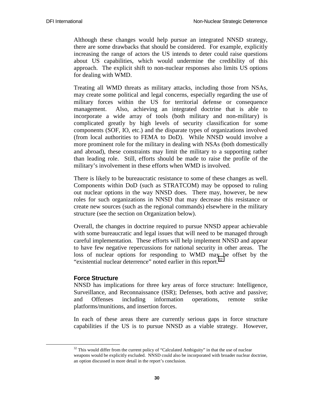Although these changes would help pursue an integrated NNSD strategy, there are some drawbacks that should be considered. For example, explicitly increasing the range of actors the US intends to deter could raise questions about US capabilities, which would undermine the credibility of this approach. The explicit shift to non-nuclear responses also limits US options for dealing with WMD.

Treating all WMD threats as military attacks, including those from NSAs, may create some political and legal concerns, especially regarding the use of military forces within the US for territorial defense or consequence management. Also, achieving an integrated doctrine that is able to incorporate a wide array of tools (both military and non-military) is complicated greatly by high levels of security classification for some components (SOF, IO, etc.) and the disparate types of organizations involved (from local authorities to FEMA to DoD). While NNSD would involve a more prominent role for the military in dealing with NSAs (both domestically and abroad), these constraints may limit the military to a supporting rather than leading role. Still, efforts should be made to raise the profile of the military's involvement in these efforts when WMD is involved.

There is likely to be bureaucratic resistance to some of these changes as well. Components within DoD (such as STRATCOM) may be opposed to ruling out nuclear options in the way NNSD does. There may, however, be new roles for such organizations in NNSD that may decrease this resistance or create new sources (such as the regional commands) elsewhere in the military structure (see the section on Organization below).

Overall, the changes in doctrine required to pursue NNSD appear achievable with some bureaucratic and legal issues that will need to be managed through careful implementation. These efforts will help implement NNSD and appear to have few negative repercussions for national security in other areas. The loss of nuclear options for responding to WMD may be offset by the "existential nuclear deterrence" noted earlier in this report.<sup>32</sup>

#### **Force Structure**

NNSD has implications for three key areas of force structure: Intelligence, Surveillance, and Reconnaissance (ISR); Defenses, both active and passive; and Offenses including information operations, remote strike platforms/munitions, and insertion forces.

In each of these areas there are currently serious gaps in force structure capabilities if the US is to pursue NNSD as a viable strategy. However,

 $32$  This would differ from the current policy of "Calculated Ambiguity" in that the use of nuclear weapons would be explicitly excluded. NNSD could also be incorporated with broader nuclear doctrine, an option discussed in more detail in the report's conclusion.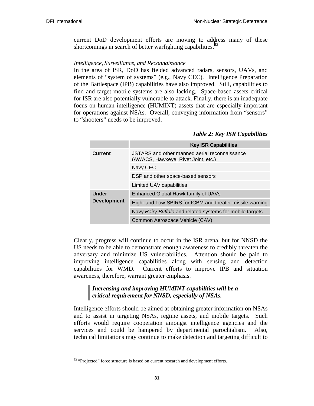current DoD development efforts are moving to address many of these shortcomings in search of better warfighting capabilities.<sup>33</sup>

## *Intelligence, Surveillance, and Reconnaissance*

In the area of ISR, DoD has fielded advanced radars, sensors, UAVs, and elements of "system of systems" (e.g., Navy CEC). Intelligence Preparation of the Battlespace (IPB) capabilities have also improved. Still, capabilities to find and target mobile systems are also lacking. Space-based assets critical for ISR are also potentially vulnerable to attack. Finally, there is an inadequate focus on human intelligence (HUMINT) assets that are especially important for operations against NSAs. Overall, conveying information from "sensors" to "shooters" needs to be improved.

#### *Table 2: Key ISR Capabilities*

|                    | <b>Key ISR Capabilities</b>                                                          |  |  |
|--------------------|--------------------------------------------------------------------------------------|--|--|
| Current            | JSTARS and other manned aerial reconnaissance<br>(AWACS, Hawkeye, Rivet Joint, etc.) |  |  |
|                    | Navy CEC                                                                             |  |  |
|                    | DSP and other space-based sensors                                                    |  |  |
|                    | Limited UAV capabilities                                                             |  |  |
| <b>Under</b>       | Enhanced Global Hawk family of UAVs                                                  |  |  |
| <b>Development</b> | High- and Low-SBIRS for ICBM and theater missile warning                             |  |  |
|                    | Navy Hairy Buffalo and related systems for mobile targets                            |  |  |
|                    | Common Aerospace Vehicle (CAV)                                                       |  |  |

Clearly, progress will continue to occur in the ISR arena, but for NNSD the US needs to be able to demonstrate enough awareness to credibly threaten the adversary and minimize US vulnerabilities. Attention should be paid to improving intelligence capabilities along with sensing and detection capabilities for WMD. Current efforts to improve IPB and situation awareness, therefore, warrant greater emphasis.

## *Increasing and improving HUMINT capabilities will be a critical requirement for NNSD, especially of NSAs.*

Intelligence efforts should be aimed at obtaining greater information on NSAs and to assist in targeting NSAs, regime assets, and mobile targets. Such efforts would require cooperation amongst intelligence agencies and the services and could be hampered by departmental parochialism. Also, technical limitations may continue to make detection and targeting difficult to

<sup>&</sup>lt;sup>33</sup> "Projected" force structure is based on current research and development efforts.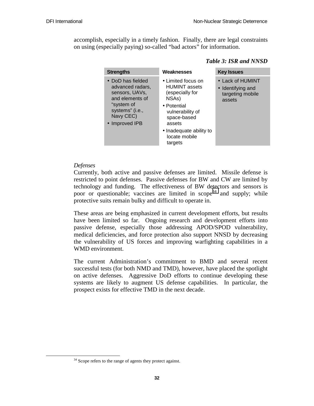accomplish, especially in a timely fashion. Finally, there are legal constraints on using (especially paying) so-called "bad actors" for information.

| <b>Strengths</b>                                                                                                                           | Weaknesses                                                                                                                                                                                | <b>Key Issues</b>                                                   |
|--------------------------------------------------------------------------------------------------------------------------------------------|-------------------------------------------------------------------------------------------------------------------------------------------------------------------------------------------|---------------------------------------------------------------------|
| • DoD has fielded<br>advanced radars,<br>sensors, UAVs,<br>and elements of<br>"system of<br>systems" (i.e.,<br>Navy CEC)<br>• Improved IPB | • Limited focus on<br><b>HUMINT</b> assets<br>(especially for<br>NSAs)<br>• Potential<br>vulnerability of<br>space-based<br>assets<br>• Inadequate ability to<br>locate mobile<br>targets | • Lack of HUMINT<br>• Identifying and<br>targeting mobile<br>assets |

#### *Table 3: ISR and NNSD*

## *Defenses*

Currently, both active and passive defenses are limited. Missile defense is restricted to point defenses. Passive defenses for BW and CW are limited by technology and funding. The effectiveness of BW detectors and sensors is poor or questionable; vaccines are limited in  $\text{scope}^{34}$  and supply; while protective suits remain bulky and difficult to operate in.

These areas are being emphasized in current development efforts, but results have been limited so far. Ongoing research and development efforts into passive defense, especially those addressing APOD/SPOD vulnerability, medical deficiencies, and force protection also support NNSD by decreasing the vulnerability of US forces and improving warfighting capabilities in a WMD environment.

The current Administration's commitment to BMD and several recent successful tests (for both NMD and TMD), however, have placed the spotlight on active defenses. Aggressive DoD efforts to continue developing these systems are likely to augment US defense capabilities. In particular, the prospect exists for effective TMD in the next decade.

<sup>&</sup>lt;sup>34</sup> Scope refers to the range of agents they protect against.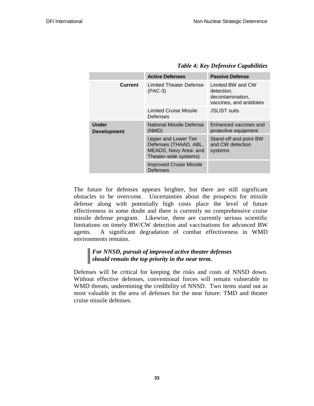|                                    | <b>Active Defenses</b>                                                                                 | <b>Passive Defense</b>                                                         |
|------------------------------------|--------------------------------------------------------------------------------------------------------|--------------------------------------------------------------------------------|
| Current                            | Limited Theater Defense<br>$(PAC-3)$                                                                   | Limited BW and CW<br>detection,<br>decontamination,<br>vaccines, and antidotes |
|                                    | Limited Cruise Missile<br>Defenses                                                                     | <b>JSLIST suits</b>                                                            |
| <b>Under</b><br><b>Development</b> | National Missile Defense<br>(NMD)                                                                      | Enhanced vaccines and<br>protective equipment                                  |
|                                    | <b>Upper and Lower Tier</b><br>Defenses (THAAD, ABL,<br>MEADS, Navy Area- and<br>Theater-wide systems) | Stand-off and point BW<br>and CW detection<br>systems                          |
|                                    | <b>Improved Cruise Missile</b><br><b>Defenses</b>                                                      |                                                                                |

*Table 4: Key Defensive Capabilities* 

The future for defenses appears brighter, but there are still significant obstacles to be overcome. Uncertainties about the prospects for missile defense along with potentially high costs place the level of future effectiveness in some doubt and there is currently no comprehensive cruise missile defense program. Likewise, there are currently serious scientific limitations on timely BW/CW detection and vaccinations for advanced BW agents. A significant degradation of combat effectiveness in WMD environments remains.

## *For NNSD, pursuit of improved active theater defenses should remain the top priority in the near term.*

Defenses will be critical for keeping the risks and costs of NNSD down. Without effective defenses, conventional forces will remain vulnerable to WMD threats, undermining the credibility of NNSD. Two items stand out as most valuable in the area of defenses for the near future: TMD and theater cruise missile defenses.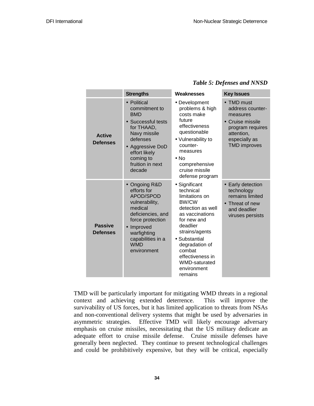#### *Table 5: Defenses and NNSD*

|                                   | <b>Strengths</b>                                                                                                                                                                               | <b>Weaknesses</b>                                                                                                                                                                                                                                                    | <b>Key Issues</b>                                                                                                                        |
|-----------------------------------|------------------------------------------------------------------------------------------------------------------------------------------------------------------------------------------------|----------------------------------------------------------------------------------------------------------------------------------------------------------------------------------------------------------------------------------------------------------------------|------------------------------------------------------------------------------------------------------------------------------------------|
| <b>Active</b><br><b>Defenses</b>  | • Political<br>commitment to<br><b>BMD</b><br>• Successful tests<br>for THAAD,<br>Navy missile<br>defenses<br>• Aggressive DoD<br>effort likely<br>coming to<br>fruition in next<br>decade     | • Development<br>problems & high<br>costs make<br>future<br>effectiveness<br>questionable<br>• Vulnerability to<br>counter-<br>measures<br>$\bullet$ No<br>comprehensive<br>cruise missile<br>defense program                                                        | • TMD must<br>address counter-<br>measures<br>• Cruise missile<br>program requires<br>attention,<br>especially as<br><b>TMD</b> improves |
| <b>Passive</b><br><b>Defenses</b> | • Ongoing R&D<br>efforts for<br>APOD/SPOD<br>vulnerability,<br>medical<br>deficiencies, and<br>force protection<br>• Improved<br>warfighting<br>capabilities in a<br><b>WMD</b><br>environment | • Significant<br>technical<br>limitations on<br><b>BW/CW</b><br>detection as well<br>as vaccinations<br>for new and<br>deadlier<br>strains/agents<br>• Substantial<br>degradation of<br>combat<br>effectiveness in<br><b>WMD-saturated</b><br>environment<br>remains | • Early detection<br>technology<br>remains limited<br>• Threat of new<br>and deadlier<br>viruses persists                                |

TMD will be particularly important for mitigating WMD threats in a regional context and achieving extended deterrence. This will improve the survivability of US forces, but it has limited application to threats from NSAs and non-conventional delivery systems that might be used by adversaries in asymmetric strategies. Effective TMD will likely encourage adversary emphasis on cruise missiles, necessitating that the US military dedicate an adequate effort to cruise missile defense. Cruise missile defenses have generally been neglected. They continue to present technological challenges and could be prohibitively expensive, but they will be critical, especially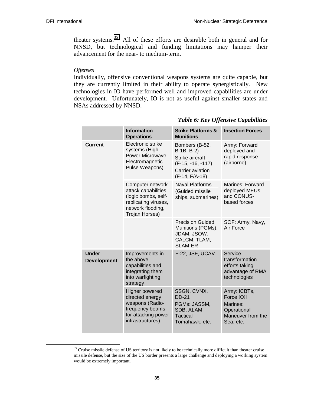theater systems.35 All of these efforts are desirable both in general and for NNSD, but technological and funding limitations may hamper their advancement for the near- to medium-term.

#### *Offenses*

Individually, offensive conventional weapons systems are quite capable, but they are currently limited in their ability to operate synergistically. New technologies in IO have performed well and improved capabilities are under development. Unfortunately, IO is not as useful against smaller states and NSAs addressed by NNSD.

|                                    | <b>Information</b><br><b>Operations</b>                                                                                       | <b>Strike Platforms &amp;</b><br><b>Munitions</b>                                                            | <b>Insertion Forces</b>                                                                |
|------------------------------------|-------------------------------------------------------------------------------------------------------------------------------|--------------------------------------------------------------------------------------------------------------|----------------------------------------------------------------------------------------|
| <b>Current</b>                     | Electronic strike<br>systems (High<br>Power Microwave,<br>Electromagnetic<br>Pulse Weapons)                                   | Bombers (B-52,<br>B-1B, B-2)<br>Strike aircraft<br>$(F-15, -16, -117)$<br>Carrier aviation<br>(F-14, F/A-18) | Army: Forward<br>deployed and<br>rapid response<br>(airborne)                          |
|                                    | Computer network<br>attack capabilities<br>(logic bombs, self-<br>replicating viruses,<br>network flooding,<br>Trojan Horses) | <b>Naval Platforms</b><br>(Guided missile<br>ships, submarines)                                              | Marines: Forward<br>deployed MEUs<br>and CONUS-<br>based forces                        |
|                                    |                                                                                                                               | <b>Precision Guided</b><br>Munitions (PGMs):<br>JDAM, JSOW,<br>CALCM, TLAM,<br><b>SLAM-ER</b>                | SOF: Army, Navy,<br>Air Force                                                          |
| <b>Under</b><br><b>Development</b> | Improvements in<br>the above<br>capabilities and<br>integrating them<br>into warfighting<br>strategy                          | F-22, JSF, UCAV                                                                                              | Service<br>transformation<br>efforts taking<br>advantage of RMA<br>technologies        |
|                                    | <b>Higher powered</b><br>directed energy<br>weapons (Radio-<br>frequency beams<br>for attacking power<br>infrastructures)     | SSGN, CVNX,<br><b>DD-21</b><br>PGMs: JASSM,<br>SDB, ALAM,<br>Tactical<br>Tomahawk, etc.                      | Army: ICBTs,<br>Force XXI<br>Marines:<br>Operational<br>Maneuver from the<br>Sea, etc. |

#### *Table 6: Key Offensive Capabilities*

<sup>&</sup>lt;sup>35</sup> Cruise missile defense of US territory is not likely to be technically more difficult than theater cruise missile defense, but the size of the US border presents a large challenge and deploying a working system would be extremely important.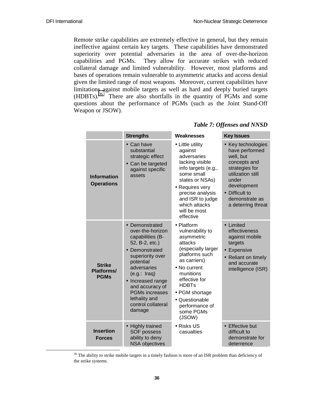Remote strike capabilities are extremely effective in general, but they remain ineffective against certain key targets. These capabilities have demonstrated superiority over potential adversaries in the area of over-the-horizon capabilities and PGMs. They allow for accurate strikes with reduced collateral damage and limited vulnerability. However, most platforms and bases of operations remain vulnerable to asymmetric attacks and access denial given the limited range of most weapons. Moreover, current capabilities have limitations against mobile targets as well as hard and deeply buried targets (HDBTs).36 There are also shortfalls in the quantity of PGMs and some questions about the performance of PGMs (such as the Joint Stand-Off Weapon or JSOW).

|                                            | <b>Strengths</b>                                                                                                                                                                                                                                                                                   | Weaknesses                                                                                                                                                                                                                                                 | <b>Key Issues</b>                                                                                                                                                                          |
|--------------------------------------------|----------------------------------------------------------------------------------------------------------------------------------------------------------------------------------------------------------------------------------------------------------------------------------------------------|------------------------------------------------------------------------------------------------------------------------------------------------------------------------------------------------------------------------------------------------------------|--------------------------------------------------------------------------------------------------------------------------------------------------------------------------------------------|
| <b>Information</b><br><b>Operations</b>    | Can have<br>substantial<br>strategic effect<br>• Can be targeted<br>against specific<br>assets                                                                                                                                                                                                     | • Little utility<br>against<br>adversaries<br>lacking visible<br>info targets (e.g.,<br>some small<br>states or NSAs)<br>• Requires very<br>precise analysis<br>and ISR to judge<br>which attacks<br>will be most<br>effective                             | • Key technologies<br>have performed<br>well, but<br>concepts and<br>strategies for<br>utilization still<br>under<br>development<br>• Difficult to<br>demonstrate as<br>a deterring threat |
| <b>Strike</b><br>Platforms/<br><b>PGMs</b> | Demonstrated<br>$\bullet$<br>over-the-horizon<br>capabilities (B-<br>52, B-2, etc.)<br>• Demonstrated<br>superiority over<br>potential<br>adversaries<br>(e.g.: Iraq)<br>Increased range<br>$\bullet$<br>and accuracy of<br><b>PGMs increases</b><br>lethality and<br>control collateral<br>damage | • Platform<br>vulnerability to<br>asymmetric<br>attacks<br>(especially larger<br>platforms such<br>as carriers)<br>• No current<br>munitions<br>effective for<br><b>HDBTs</b><br>• PGM shortage<br>• Questionable<br>performance of<br>some PGMs<br>(JSOW) | • Limited<br>effectiveness<br>against mobile<br>targets<br>• Expensive<br>• Reliant on timely<br>and accurate<br>intelligence (ISR)                                                        |
| <b>Insertion</b><br><b>Forces</b>          | • Highly trained<br><b>SOF possess</b><br>ability to deny<br><b>NSA objectives</b>                                                                                                                                                                                                                 | • Risks US<br>casualties                                                                                                                                                                                                                                   | • Effective but<br>difficult to<br>demonstrate for<br>deterrence                                                                                                                           |

#### *Table 7: Offenses and NNSD*

<sup>&</sup>lt;sup>36</sup> The ability to strike mobile targets in a timely fashion is more of an ISR problem than deficiency of the strike systems.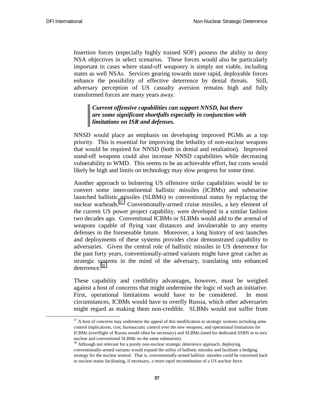Insertion forces (especially highly trained SOF) possess the ability to deny NSA objectives in select scenarios. These forces would also be particularly important in cases where stand-off weaponry is simply not viable, including states as well NSAs. Services gearing towards more rapid, deployable forces enhance the possibility of effective deterrence by denial threats. Still, adversary perception of US casualty aversion remains high and fully transformed forces are many years away.

## *Current offensive capabilities can support NNSD, but there are some significant shortfalls especially in conjunction with limitations on ISR and defenses.*

NNSD would place an emphasis on developing improved PGMs as a top priority. This is essential for improving the lethality of non-nuclear weapons that would be required for NNSD (both in denial and retaliation). Improved stand-off weapons could also increase NNSD capabilities while decreasing vulnerability to WMD. This seems to be an achievable effort, but costs would likely be high and limits on technology may slow progress for some time.

Another approach to bolstering US offensive strike capabilities would be to convert some intercontinental ballistic missiles (ICBMs) and submarine launched ballistic missiles (SLBMs) to conventional status by replacing the nuclear warheads.<sup>37</sup> Conventionally-armed cruise missiles, a key element of the current US power project capability, were developed in a similar fashion two decades ago. Conventional ICBMs or SLBMs would add to the arsenal of weapons capable of flying vast distances and invulnerable to any enemy defenses in the foreseeable future. Moreover, a long history of test launches and deployments of these systems provides clear demonstrated capability to adversaries. Given the central role of ballistic missiles in US deterrence for the past forty years, conventionally-armed variants might have great cachet as strategic systems in the mind of the adversary, translating into enhanced deterrence.<sup>38</sup>

These capability and credibility advantages, however, must be weighed against a host of concerns that might undermine the logic of such an initiative. First, operational limitations would have to be considered. In most circumstances, ICBMs would have to overfly Russia, which other adversaries might regard as making them non-credible. SLBMs would not suffer from

 $37$  A host of concerns may undermine the appeal of this modification to strategic systems including arms control implications, cost, bureaucratic control over the new weapons, and operational limitations for ICBMs (overflight of Russia would often be necessary) and SLBMs (need for dedicated SSBN or to mix nuclear and conventional SLBMs on the same submarine).

<sup>&</sup>lt;sup>38</sup> Although not relevant for a purely non-nuclear strategic deterrence approach, deploying conventionally-armed variants would expand the utility of ballistic missiles and facilitate a hedging strategy for the nuclear arsenal. That is, conventionally-armed ballistic missiles could be converted back to nuclear status facilitating, if necessary, a more rapid reconstitution of a US nuclear force.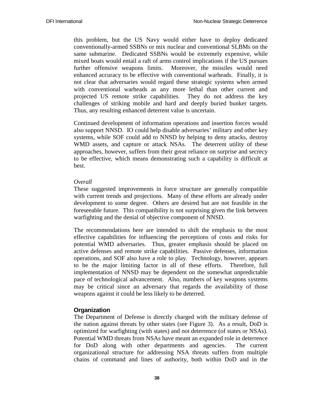this problem, but the US Navy would either have to deploy dedicated conventionally-armed SSBNs or mix nuclear and conventional SLBMs on the same submarine. Dedicated SSBNs would be extremely expensive, while mixed boats would entail a raft of arms control implications if the US pursues further offensive weapons limits. Moreover, the missiles would need enhanced accuracy to be effective with conventional warheads. Finally, it is not clear that adversaries would regard these strategic systems when armed with conventional warheads as any more lethal than other current and projected US remote strike capabilities. They do not address the key challenges of striking mobile and hard and deeply buried bunker targets. Thus, any resulting enhanced deterrent value is uncertain.

Continued development of information operations and insertion forces would also support NNSD. IO could help disable adversaries' military and other key systems, while SOF could add to NNSD by helping to deny attacks, destroy WMD assets, and capture or attack NSAs. The deterrent utility of these approaches, however, suffers from their great reliance on surprise and secrecy to be effective, which means demonstrating such a capability is difficult at best.

#### *Overall*

These suggested improvements in force structure are generally compatible with current trends and projections. Many of these efforts are already under development to some degree. Others are desired but are not feasible in the foreseeable future. This compatibility is not surprising given the link between warfighting and the denial of objective component of NNSD.

The recommendations here are intended to shift the emphasis to the most effective capabilities for influencing the perceptions of costs and risks for potential WMD adversaries. Thus, greater emphasis should be placed on active defenses and remote strike capabilities. Passive defenses, information operations, and SOF also have a role to play. Technology, however, appears to be the major limiting factor in all of these efforts. Therefore, full implementation of NNSD may be dependent on the somewhat unpredictable pace of technological advancement. Also, numbers of key weapons systems may be critical since an adversary that regards the availability of those weapons against it could be less likely to be deterred.

#### **Organization**

The Department of Defense is directly charged with the military defense of the nation against threats by other states (see Figure 3). As a result, DoD is optimized for warfighting (with states) and not deterrence (of states or NSAs). Potential WMD threats from NSAs have meant an expanded role in deterrence for DoD along with other departments and agencies. The current organizational structure for addressing NSA threats suffers from multiple chains of command and lines of authority, both within DoD and in the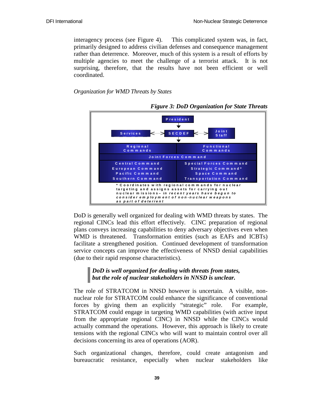interagency process (see Figure 4). This complicated system was, in fact, primarily designed to address civilian defenses and consequence management rather than deterrence. Moreover, much of this system is a result of efforts by multiple agencies to meet the challenge of a terrorist attack. It is not surprising, therefore, that the results have not been efficient or well coordinated.

*Organization for WMD Threats by States* 



*Figure 3: DoD Organization for State Threats* 

DoD is generally well organized for dealing with WMD threats by states. The regional CINCs lead this effort effectively. CINC preparation of regional plans conveys increasing capabilities to deny adversary objectives even when WMD is threatened. Transformation entities (such as EAFs and ICBTs) facilitate a strengthened position. Continued development of transformation service concepts can improve the effectiveness of NNSD denial capabilities (due to their rapid response characteristics).

## *DoD is well organized for dealing with threats from states, but the role of nuclear stakeholders in NNSD is unclear.*

The role of STRATCOM in NNSD however is uncertain. A visible, nonnuclear role for STRATCOM could enhance the significance of conventional forces by giving them an explicitly "strategic" role. For example, STRATCOM could engage in targeting WMD capabilities (with active input from the appropriate regional CINC) in NNSD while the CINCs would actually command the operations. However, this approach is likely to create tensions with the regional CINCs who will want to maintain control over all decisions concerning its area of operations (AOR).

Such organizational changes, therefore, could create antagonism and bureaucratic resistance, especially when nuclear stakeholders like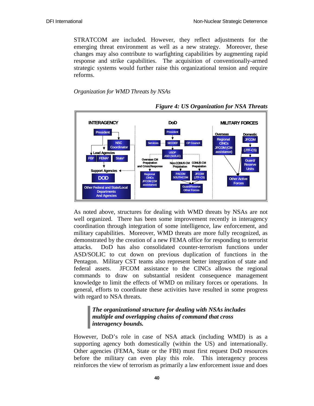STRATCOM are included. However, they reflect adjustments for the emerging threat environment as well as a new strategy. Moreover, these changes may also contribute to warfighting capabilities by augmenting rapid response and strike capabilities. The acquisition of conventionally-armed strategic systems would further raise this organizational tension and require reforms.

#### *Organization for WMD Threats by NSAs*



*Figure 4: US Organization for NSA Threats* 

As noted above, structures for dealing with WMD threats by NSAs are not well organized. There has been some improvement recently in interagency coordination through integration of some intelligence, law enforcement, and military capabilities. Moreover, WMD threats are more fully recognized, as demonstrated by the creation of a new FEMA office for responding to terrorist attacks. DoD has also consolidated counter-terrorism functions under ASD/SOLIC to cut down on previous duplication of functions in the Pentagon. Military CST teams also represent better integration of state and federal assets. JFCOM assistance to the CINCs allows the regional commands to draw on substantial resident consequence management knowledge to limit the effects of WMD on military forces or operations. In general, efforts to coordinate these activities have resulted in some progress with regard to NSA threats.

## *The organizational structure for dealing with NSAs includes multiple and overlapping chains of command that cross interagency bounds.*

However, DoD's role in case of NSA attack (including WMD) is as a supporting agency both domestically (within the US) and internationally. Other agencies (FEMA, State or the FBI) must first request DoD resources before the military can even play this role. This interagency process reinforces the view of terrorism as primarily a law enforcement issue and does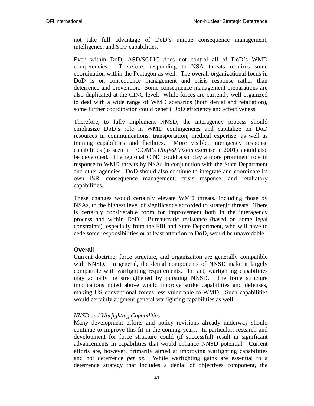not take full advantage of DoD's unique consequence management, intelligence, and SOF capabilities.

Even within DoD, ASD/SOLIC does not control all of DoD's WMD competencies. Therefore, responding to NSA threats requires some coordination within the Pentagon as well. The overall organizational focus in DoD is on consequence management and crisis response rather than deterrence and prevention. Some consequence management preparations are also duplicated at the CINC level. While forces are currently well organized to deal with a wide range of WMD scenarios (both denial and retaliation), some further coordination could benefit DoD efficiency and effectiveness.

Therefore, to fully implement NNSD, the interagency process should emphasize DoD's role in WMD contingencies and capitalize on DoD resources in communications, transportation, medical expertise, as well as training capabilities and facilities. More visible, interagency response capabilities (as seen in JFCOM's *Unified Vision* exercise in 2001) should also be developed. The regional CINC could also play a more prominent role in response to WMD threats by NSAs in conjunction with the State Department and other agencies. DoD should also continue to integrate and coordinate its own ISR, consequence management, crisis response, and retaliatory capabilities.

These changes would certainly elevate WMD threats, including those by NSAs, to the highest level of significance accorded to strategic threats. There is certainly considerable room for improvement both in the interagency process and within DoD. Bureaucratic resistance (based on some legal constraints), especially from the FBI and State Department, who will have to cede some responsibilities or at least attention to DoD, would be unavoidable.

## **Overall**

Current doctrine, force structure, and organization are generally compatible with NNSD. In general, the denial components of NNSD make it largely compatible with warfighting requirements. In fact, warfighting capabilities may actually be strengthened by pursuing NNSD. The force structure implications noted above would improve strike capabilities and defenses, making US conventional forces less vulnerable to WMD. Such capabilities would certainly augment general warfighting capabilities as well.

#### *NNSD and Warfighting Capabilities*

Many development efforts and policy revisions already underway should continue to improve this fit in the coming years. In particular, research and development for force structure could (if successful) result in significant advancements in capabilities that would enhance NNSD potential. Current efforts are, however, primarily aimed at improving warfighting capabilities and not deterrence *per se*. While warfighting gains are essential to a deterrence strategy that includes a denial of objectives component, the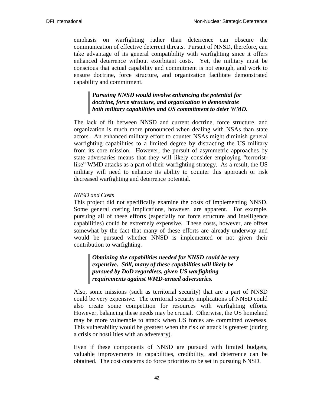emphasis on warfighting rather than deterrence can obscure the communication of effective deterrent threats. Pursuit of NNSD, therefore, can take advantage of its general compatibility with warfighting since it offers enhanced deterrence without exorbitant costs. Yet, the military must be conscious that actual capability and commitment is not enough, and work to ensure doctrine, force structure, and organization facilitate demonstrated capability and commitment.

## *Pursuing NNSD would involve enhancing the potential for doctrine, force structure, and organization to demonstrate both military capabilities and US commitment to deter WMD.*

The lack of fit between NNSD and current doctrine, force structure, and organization is much more pronounced when dealing with NSAs than state actors. An enhanced military effort to counter NSAs might diminish general warfighting capabilities to a limited degree by distracting the US military from its core mission. However, the pursuit of asymmetric approaches by state adversaries means that they will likely consider employing "terroristlike" WMD attacks as a part of their warfighting strategy. As a result, the US military will need to enhance its ability to counter this approach or risk decreased warfighting and deterrence potential.

#### *NNSD and Costs*

This project did not specifically examine the costs of implementing NNSD. Some general costing implications, however, are apparent. For example, pursuing all of these efforts (especially for force structure and intelligence capabilities) could be extremely expensive. These costs, however, are offset somewhat by the fact that many of these efforts are already underway and would be pursued whether NNSD is implemented or not given their contribution to warfighting.

*Obtaining the capabilities needed for NNSD could be very expensive. Still, many of these capabilities will likely be pursued by DoD regardless, given US warfighting requirements against WMD-armed adversaries.* 

Also, some missions (such as territorial security) that are a part of NNSD could be very expensive. The territorial security implications of NNSD could also create some competition for resources with warfighting efforts. However, balancing these needs may be crucial. Otherwise, the US homeland may be more vulnerable to attack when US forces are committed overseas. This vulnerability would be greatest when the risk of attack is greatest (during a crisis or hostilities with an adversary).

Even if these components of NNSD are pursued with limited budgets, valuable improvements in capabilities, credibility, and deterrence can be obtained. The cost concerns do force priorities to be set in pursuing NNSD.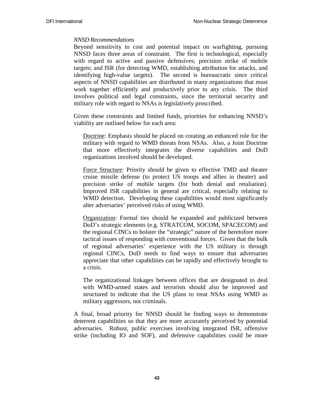#### *NNSD Recommendations*

Beyond sensitivity to cost and potential impact on warfighting, pursuing NNSD faces three areas of constraint. The first is technological, especially with regard to active and passive defensives; precision strike of mobile targets; and ISR (for detecting WMD, establishing attribution for attacks, and identifying high-value targets). The second is bureaucratic since critical aspects of NNSD capabilities are distributed in many organizations that must work together efficiently and productively prior to any crisis. The third involves political and legal constraints, since the territorial security and military role with regard to NSAs is legislatively proscribed.

Given these constraints and limited funds, priorities for enhancing NNSD's viability are outlined below for each area:

Doctrine: Emphasis should be placed on creating an enhanced role for the military with regard to WMD threats from NSAs. Also, a Joint Doctrine that more effectively integrates the diverse capabilities and DoD organizations involved should be developed.

Force Structure: Priority should be given to effective TMD and theater cruise missile defense (to protect US troops and allies in theater) and precision strike of mobile targets (for both denial and retaliation). Improved ISR capabilities in general are critical, especially relating to WMD detection. Developing these capabilities would most significantly alter adversaries' perceived risks of using WMD.

Organization: Formal ties should be expanded and publicized between DoD's strategic elements (e.g. STRATCOM, SOCOM, SPACECOM) and the regional CINCs to bolster the "strategic" nature of the heretofore more tactical issues of responding with conventional forces. Given that the bulk of regional adversaries' experience with the US military is through regional CINCs, DoD needs to find ways to ensure that adversaries appreciate that other capabilities can be rapidly and effectively brought to a crisis.

The organizational linkages between offices that are designated to deal with WMD-armed states and terrorists should also be improved and structured to indicate that the US plans to treat NSAs using WMD as military aggressors, not criminals.

A final, broad priority for NNSD should be finding ways to demonstrate deterrent capabilities so that they are more accurately perceived by potential adversaries. Robust, public exercises involving integrated ISR, offensive strike (including IO and SOF), and defensive capabilities could be more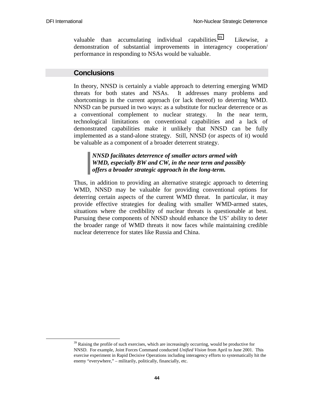valuable than accumulating individual capabilities.<sup>39</sup> Likewise, a demonstration of substantial improvements in interagency cooperation/ performance in responding to NSAs would be valuable.

#### **Conclusions**

In theory, NNSD is certainly a viable approach to deterring emerging WMD threats for both states and NSAs. It addresses many problems and shortcomings in the current approach (or lack thereof) to deterring WMD. NNSD can be pursued in two ways: as a substitute for nuclear deterrence or as a conventional complement to nuclear strategy. In the near term, technological limitations on conventional capabilities and a lack of demonstrated capabilities make it unlikely that NNSD can be fully implemented as a stand-alone strategy. Still, NNSD (or aspects of it) would be valuable as a component of a broader deterrent strategy.

#### *NNSD facilitates deterrence of smaller actors armed with WMD, especially BW and CW, in the near term and possibly offers a broader strategic approach in the long-term.*

Thus, in addition to providing an alternative strategic approach to deterring WMD, NNSD may be valuable for providing conventional options for deterring certain aspects of the current WMD threat. In particular, it may provide effective strategies for dealing with smaller WMD-armed states, situations where the credibility of nuclear threats is questionable at best. Pursuing these components of NNSD should enhance the US' ability to deter the broader range of WMD threats it now faces while maintaining credible nuclear deterrence for states like Russia and China.

 $39$  Raising the profile of such exercises, which are increasingly occurring, would be productive for NNSD. For example, Joint Forces Command conducted *Unified Vision* from April to June 2001. This exercise experiment in Rapid Decisive Operations including interagency efforts to systematically hit the enemy "everywhere," – militarily, politically, financially, etc.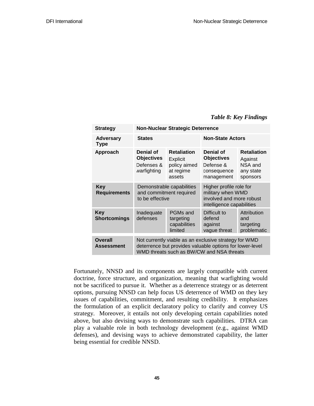#### *Table 8: Key Findings*

| <b>Strategy</b>                     | <b>Non-Nuclear Strategic Deterrence</b>                                                                                                                        |                                                                              |                                                                                                       |                                                                   |
|-------------------------------------|----------------------------------------------------------------------------------------------------------------------------------------------------------------|------------------------------------------------------------------------------|-------------------------------------------------------------------------------------------------------|-------------------------------------------------------------------|
| <b>Adversary</b><br><b>Type</b>     | <b>States</b>                                                                                                                                                  |                                                                              | <b>Non-State Actors</b>                                                                               |                                                                   |
| Approach                            | Denial of<br><b>Objectives</b><br>Defenses &<br>warfighting                                                                                                    | <b>Retaliation</b><br><b>Explicit</b><br>policy aimed<br>at regime<br>assets | Denial of<br><b>Objectives</b><br>Defense &<br>consequence<br>management                              | <b>Retaliation</b><br>Against<br>NSA and<br>any state<br>sponsors |
| <b>Key</b><br><b>Requirements</b>   | Demonstrable capabilities<br>and commitment required<br>to be effective                                                                                        |                                                                              | Higher profile role for<br>military when WMD<br>involved and more robust<br>intelligence capabilities |                                                                   |
| <b>Key</b><br><b>Shortcomings</b>   | PGMs and<br>Inadequate<br>defenses<br>targeting<br>capabilities<br>limited                                                                                     |                                                                              | Difficult to<br>defend<br>against<br>vague threat                                                     | Attribution<br>and<br>targeting<br>problematic                    |
| <b>Overall</b><br><b>Assessment</b> | Not currently viable as an exclusive strategy for WMD<br>deterrence but provides valuable options for lower-level<br>WMD threats such as BW/CW and NSA threats |                                                                              |                                                                                                       |                                                                   |

Fortunately, NNSD and its components are largely compatible with current doctrine, force structure, and organization, meaning that warfighting would not be sacrificed to pursue it. Whether as a deterrence strategy or as deterrent options, pursuing NNSD can help focus US deterrence of WMD on they key issues of capabilities, commitment, and resulting credibility. It emphasizes the formulation of an explicit declaratory policy to clarify and convey US strategy. Moreover, it entails not only developing certain capabilities noted above, but also devising ways to demonstrate such capabilities. DTRA can play a valuable role in both technology development (e.g., against WMD defenses), and devising ways to achieve demonstrated capability, the latter being essential for credible NNSD.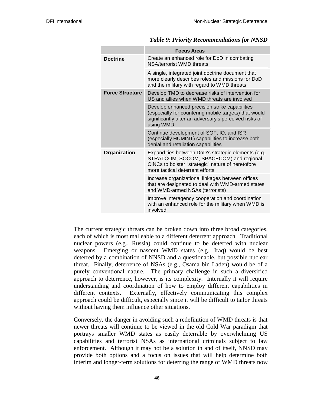|                        | <b>Focus Areas</b>                                                                                                                                                                     |
|------------------------|----------------------------------------------------------------------------------------------------------------------------------------------------------------------------------------|
| <b>Doctrine</b>        | Create an enhanced role for DoD in combating<br>NSA/terrorist WMD threats                                                                                                              |
|                        | A single, integrated joint doctrine document that<br>more clearly describes roles and missions for DoD<br>and the military with regard to WMD threats                                  |
| <b>Force Structure</b> | Develop TMD to decrease risks of intervention for<br>US and allies when WMD threats are involved                                                                                       |
|                        | Develop enhanced precision strike capabilities<br>(especially for countering mobile targets) that would<br>significantly alter an adversary's perceived risks of<br>using WMD          |
|                        | Continue development of SOF, IO, and ISR<br>(especially HUMINT) capabilities to increase both<br>denial and retaliation capabilities                                                   |
| Organization           | Expand ties between DoD's strategic elements (e.g.,<br>STRATCOM, SOCOM, SPACECOM) and regional<br>CINCs to bolster "strategic" nature of heretofore<br>more tactical deterrent efforts |
|                        | Increase organizational linkages between offices<br>that are designated to deal with WMD-armed states<br>and WMD-armed NSAs (terrorists)                                               |
|                        | Improve interagency cooperation and coordination<br>with an enhanced role for the military when WMD is<br>involved                                                                     |

#### *Table 9: Priority Recommendations for NNSD*

The current strategic threats can be broken down into three broad categories, each of which is most malleable to a different deterrent approach. Traditional nuclear powers (e.g., Russia) could continue to be deterred with nuclear weapons. Emerging or nascent WMD states (e.g., Iraq) would be best deterred by a combination of NNSD and a questionable, but possible nuclear threat. Finally, deterrence of NSAs (e.g., Osama bin Laden) would be of a purely conventional nature. The primary challenge in such a diversified approach to deterrence, however, is its complexity. Internally it will require understanding and coordination of how to employ different capabilities in different contexts. Externally, effectively communicating this complex approach could be difficult, especially since it will be difficult to tailor threats without having them influence other situations.

Conversely, the danger in avoiding such a redefinition of WMD threats is that newer threats will continue to be viewed in the old Cold War paradigm that portrays smaller WMD states as easily deterrable by overwhelming US capabilities and terrorist NSAs as international criminals subject to law enforcement. Although it may not be a solution in and of itself, NNSD may provide both options and a focus on issues that will help determine both interim and longer-term solutions for deterring the range of WMD threats now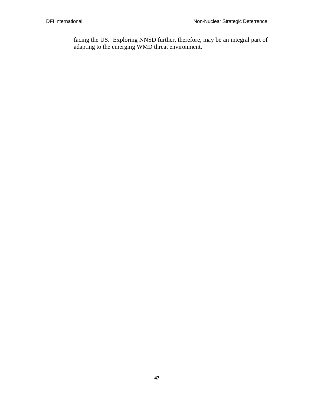facing the US. Exploring NNSD further, therefore, may be an integral part of adapting to the emerging WMD threat environment.